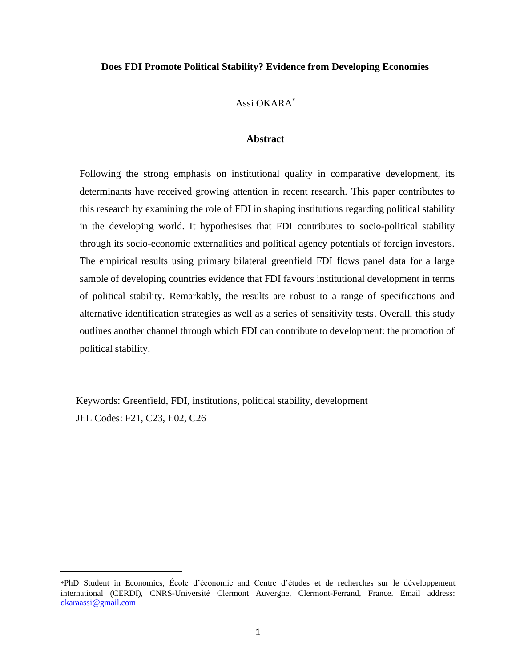#### **Does FDI Promote Political Stability? Evidence from Developing Economies**

Assi OKARA\*

# **Abstract**

Following the strong emphasis on institutional quality in comparative development, its determinants have received growing attention in recent research. This paper contributes to this research by examining the role of FDI in shaping institutions regarding political stability in the developing world. It hypothesises that FDI contributes to socio-political stability through its socio-economic externalities and political agency potentials of foreign investors. The empirical results using primary bilateral greenfield FDI flows panel data for a large sample of developing countries evidence that FDI favours institutional development in terms of political stability. Remarkably, the results are robust to a range of specifications and alternative identification strategies as well as a series of sensitivity tests. Overall, this study outlines another channel through which FDI can contribute to development: the promotion of political stability.

Keywords: Greenfield, FDI, institutions, political stability, development JEL Codes: F21, C23, E02, C26

<sup>\*</sup>PhD Student in Economics, École d'économie and Centre d'études et de recherches sur le développement international (CERDI), CNRS-Université Clermont Auvergne, Clermont-Ferrand, France. Email address: okaraassi@gmail.com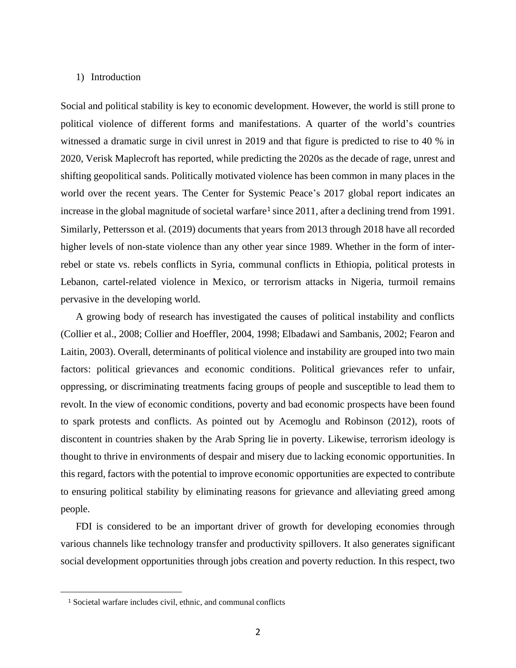#### 1) Introduction

Social and political stability is key to economic development. However, the world is still prone to political violence of different forms and manifestations. A quarter of the world's countries witnessed a dramatic surge in civil unrest in 2019 and that figure is predicted to rise to 40 % in 2020, Verisk Maplecroft has reported, while predicting the 2020s as the decade of rage, unrest and shifting geopolitical sands. Politically motivated violence has been common in many places in the world over the recent years. The Center for Systemic Peace's 2017 global report indicates an increase in the global magnitude of societal warfare<sup>1</sup> since 2011, after a declining trend from 1991. Similarly, Pettersson et al. (2019) documents that years from 2013 through 2018 have all recorded higher levels of non-state violence than any other year since 1989. Whether in the form of interrebel or state vs. rebels conflicts in Syria, communal conflicts in Ethiopia, political protests in Lebanon, cartel-related violence in Mexico, or terrorism attacks in Nigeria, turmoil remains pervasive in the developing world.

A growing body of research has investigated the causes of political instability and conflicts (Collier et al., 2008; Collier and Hoeffler, 2004, 1998; Elbadawi and Sambanis, 2002; Fearon and Laitin, 2003). Overall, determinants of political violence and instability are grouped into two main factors: political grievances and economic conditions. Political grievances refer to unfair, oppressing, or discriminating treatments facing groups of people and susceptible to lead them to revolt. In the view of economic conditions, poverty and bad economic prospects have been found to spark protests and conflicts. As pointed out by Acemoglu and Robinson (2012), roots of discontent in countries shaken by the Arab Spring lie in poverty. Likewise, terrorism ideology is thought to thrive in environments of despair and misery due to lacking economic opportunities. In this regard, factors with the potential to improve economic opportunities are expected to contribute to ensuring political stability by eliminating reasons for grievance and alleviating greed among people.

FDI is considered to be an important driver of growth for developing economies through various channels like technology transfer and productivity spillovers. It also generates significant social development opportunities through jobs creation and poverty reduction. In this respect, two

<sup>1</sup> Societal warfare includes civil, ethnic, and communal conflicts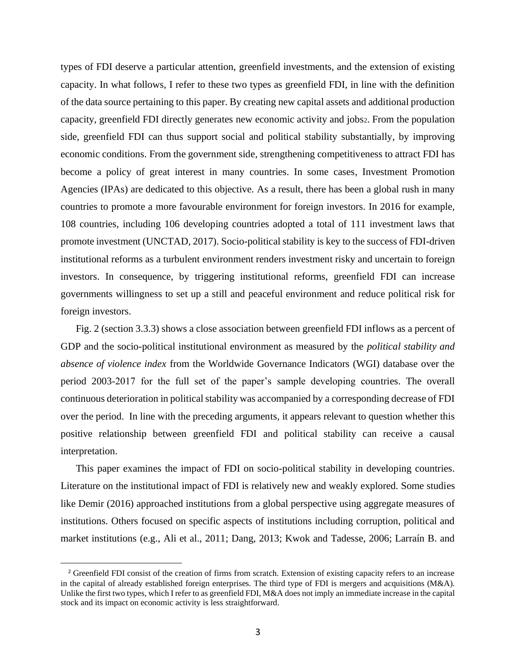types of FDI deserve a particular attention, greenfield investments, and the extension of existing capacity. In what follows, I refer to these two types as greenfield FDI, in line with the definition of the data source pertaining to this paper. By creating new capital assets and additional production capacity, greenfield FDI directly generates new economic activity and jobs2. From the population side, greenfield FDI can thus support social and political stability substantially, by improving economic conditions. From the government side, strengthening competitiveness to attract FDI has become a policy of great interest in many countries. In some cases, Investment Promotion Agencies (IPAs) are dedicated to this objective. As a result, there has been a global rush in many countries to promote a more favourable environment for foreign investors. In 2016 for example, 108 countries, including 106 developing countries adopted a total of 111 investment laws that promote investment (UNCTAD, 2017). Socio-political stability is key to the success of FDI-driven institutional reforms as a turbulent environment renders investment risky and uncertain to foreign investors. In consequence, by triggering institutional reforms, greenfield FDI can increase governments willingness to set up a still and peaceful environment and reduce political risk for foreign investors.

Fig. 2 (section 3.3.3) shows a close association between greenfield FDI inflows as a percent of GDP and the socio-political institutional environment as measured by the *political stability and absence of violence index* from the Worldwide Governance Indicators (WGI) database over the period 2003-2017 for the full set of the paper's sample developing countries. The overall continuous deterioration in political stability was accompanied by a corresponding decrease of FDI over the period. In line with the preceding arguments, it appears relevant to question whether this positive relationship between greenfield FDI and political stability can receive a causal interpretation.

This paper examines the impact of FDI on socio-political stability in developing countries. Literature on the institutional impact of FDI is relatively new and weakly explored. Some studies like Demir (2016) approached institutions from a global perspective using aggregate measures of institutions. Others focused on specific aspects of institutions including corruption, political and market institutions (e.g., Ali et al., 2011; Dang, 2013; Kwok and Tadesse, 2006; Larraín B. and

<sup>2</sup> Greenfield FDI consist of the creation of firms from scratch. Extension of existing capacity refers to an increase in the capital of already established foreign enterprises. The third type of FDI is mergers and acquisitions (M&A). Unlike the first two types, which I refer to as greenfield FDI, M&A does not imply an immediate increase in the capital stock and its impact on economic activity is less straightforward.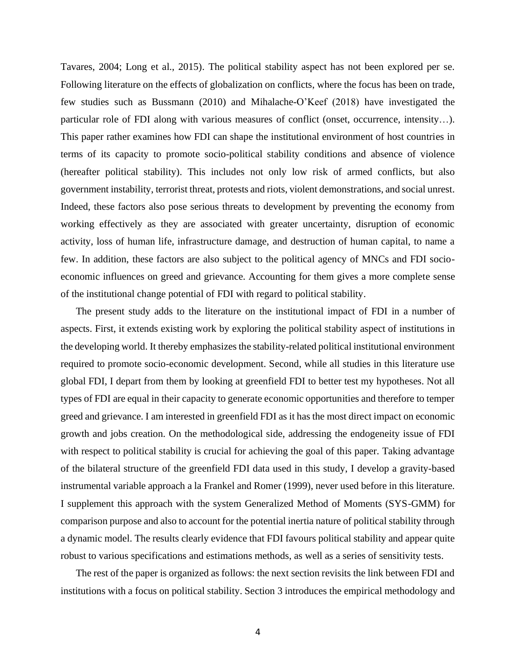Tavares, 2004; Long et al., 2015). The political stability aspect has not been explored per se. Following literature on the effects of globalization on conflicts, where the focus has been on trade, few studies such as Bussmann (2010) and Mihalache-O'Keef (2018) have investigated the particular role of FDI along with various measures of conflict (onset, occurrence, intensity…). This paper rather examines how FDI can shape the institutional environment of host countries in terms of its capacity to promote socio-political stability conditions and absence of violence (hereafter political stability). This includes not only low risk of armed conflicts, but also government instability, terrorist threat, protests and riots, violent demonstrations, and social unrest. Indeed, these factors also pose serious threats to development by preventing the economy from working effectively as they are associated with greater uncertainty, disruption of economic activity, loss of human life, infrastructure damage, and destruction of human capital, to name a few. In addition, these factors are also subject to the political agency of MNCs and FDI socioeconomic influences on greed and grievance. Accounting for them gives a more complete sense of the institutional change potential of FDI with regard to political stability.

The present study adds to the literature on the institutional impact of FDI in a number of aspects. First, it extends existing work by exploring the political stability aspect of institutions in the developing world. It thereby emphasizes the stability-related political institutional environment required to promote socio-economic development. Second, while all studies in this literature use global FDI, I depart from them by looking at greenfield FDI to better test my hypotheses. Not all types of FDI are equal in their capacity to generate economic opportunities and therefore to temper greed and grievance. I am interested in greenfield FDI as it has the most direct impact on economic growth and jobs creation. On the methodological side, addressing the endogeneity issue of FDI with respect to political stability is crucial for achieving the goal of this paper. Taking advantage of the bilateral structure of the greenfield FDI data used in this study, I develop a gravity-based instrumental variable approach a la Frankel and Romer (1999), never used before in this literature. I supplement this approach with the system Generalized Method of Moments (SYS-GMM) for comparison purpose and also to account for the potential inertia nature of political stability through a dynamic model. The results clearly evidence that FDI favours political stability and appear quite robust to various specifications and estimations methods, as well as a series of sensitivity tests.

The rest of the paper is organized as follows: the next section revisits the link between FDI and institutions with a focus on political stability. Section 3 introduces the empirical methodology and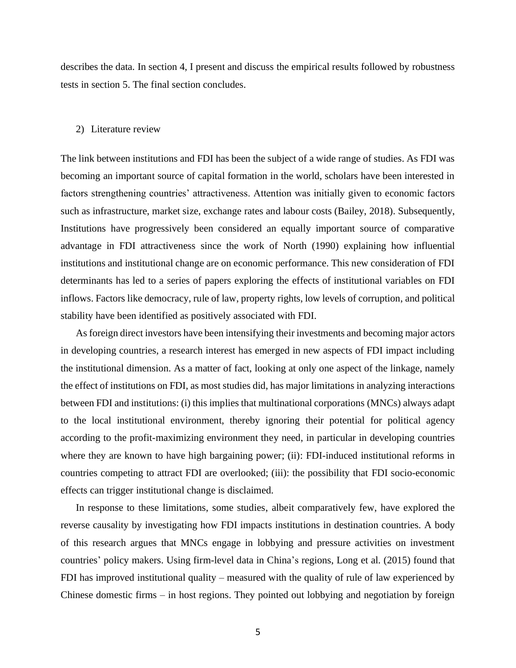describes the data. In section 4, I present and discuss the empirical results followed by robustness tests in section 5. The final section concludes.

#### 2) Literature review

The link between institutions and FDI has been the subject of a wide range of studies. As FDI was becoming an important source of capital formation in the world, scholars have been interested in factors strengthening countries' attractiveness. Attention was initially given to economic factors such as infrastructure, market size, exchange rates and labour costs (Bailey, 2018). Subsequently, Institutions have progressively been considered an equally important source of comparative advantage in FDI attractiveness since the work of North (1990) explaining how influential institutions and institutional change are on economic performance. This new consideration of FDI determinants has led to a series of papers exploring the effects of institutional variables on FDI inflows. Factors like democracy, rule of law, property rights, low levels of corruption, and political stability have been identified as positively associated with FDI.

As foreign direct investors have been intensifying their investments and becoming major actors in developing countries, a research interest has emerged in new aspects of FDI impact including the institutional dimension. As a matter of fact, looking at only one aspect of the linkage, namely the effect of institutions on FDI, as most studies did, has major limitations in analyzing interactions between FDI and institutions: (i) this implies that multinational corporations (MNCs) always adapt to the local institutional environment, thereby ignoring their potential for political agency according to the profit-maximizing environment they need, in particular in developing countries where they are known to have high bargaining power; (ii): FDI-induced institutional reforms in countries competing to attract FDI are overlooked; (iii): the possibility that FDI socio-economic effects can trigger institutional change is disclaimed.

In response to these limitations, some studies, albeit comparatively few, have explored the reverse causality by investigating how FDI impacts institutions in destination countries. A body of this research argues that MNCs engage in lobbying and pressure activities on investment countries' policy makers. Using firm-level data in China's regions, Long et al. (2015) found that FDI has improved institutional quality – measured with the quality of rule of law experienced by Chinese domestic firms – in host regions. They pointed out lobbying and negotiation by foreign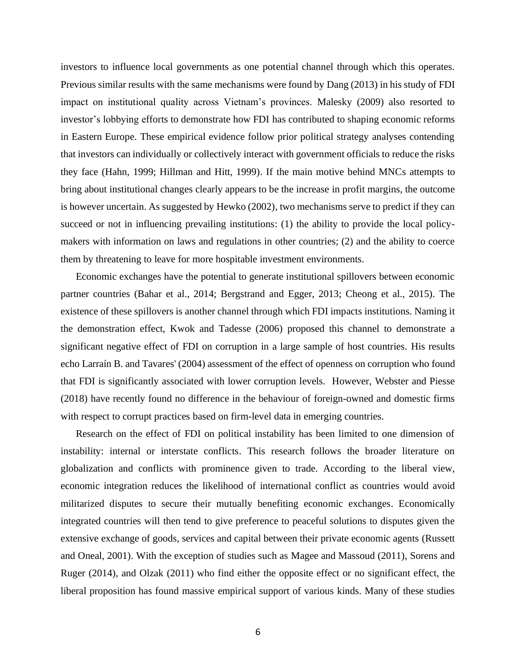investors to influence local governments as one potential channel through which this operates. Previous similar results with the same mechanisms were found by Dang (2013) in his study of FDI impact on institutional quality across Vietnam's provinces. Malesky (2009) also resorted to investor's lobbying efforts to demonstrate how FDI has contributed to shaping economic reforms in Eastern Europe. These empirical evidence follow prior political strategy analyses contending that investors can individually or collectively interact with government officials to reduce the risks they face (Hahn, 1999; Hillman and Hitt, 1999). If the main motive behind MNCs attempts to bring about institutional changes clearly appears to be the increase in profit margins, the outcome is however uncertain. As suggested by Hewko (2002), two mechanisms serve to predict if they can succeed or not in influencing prevailing institutions: (1) the ability to provide the local policymakers with information on laws and regulations in other countries; (2) and the ability to coerce them by threatening to leave for more hospitable investment environments.

Economic exchanges have the potential to generate institutional spillovers between economic partner countries (Bahar et al., 2014; Bergstrand and Egger, 2013; Cheong et al., 2015). The existence of these spillovers is another channel through which FDI impacts institutions. Naming it the demonstration effect, Kwok and Tadesse (2006) proposed this channel to demonstrate a significant negative effect of FDI on corruption in a large sample of host countries. His results echo Larraín B. and Tavares' (2004) assessment of the effect of openness on corruption who found that FDI is significantly associated with lower corruption levels. However, Webster and Piesse (2018) have recently found no difference in the behaviour of foreign-owned and domestic firms with respect to corrupt practices based on firm-level data in emerging countries.

Research on the effect of FDI on political instability has been limited to one dimension of instability: internal or interstate conflicts. This research follows the broader literature on globalization and conflicts with prominence given to trade. According to the liberal view, economic integration reduces the likelihood of international conflict as countries would avoid militarized disputes to secure their mutually benefiting economic exchanges. Economically integrated countries will then tend to give preference to peaceful solutions to disputes given the extensive exchange of goods, services and capital between their private economic agents (Russett and Oneal, 2001). With the exception of studies such as Magee and Massoud (2011), Sorens and Ruger (2014), and Olzak (2011) who find either the opposite effect or no significant effect, the liberal proposition has found massive empirical support of various kinds. Many of these studies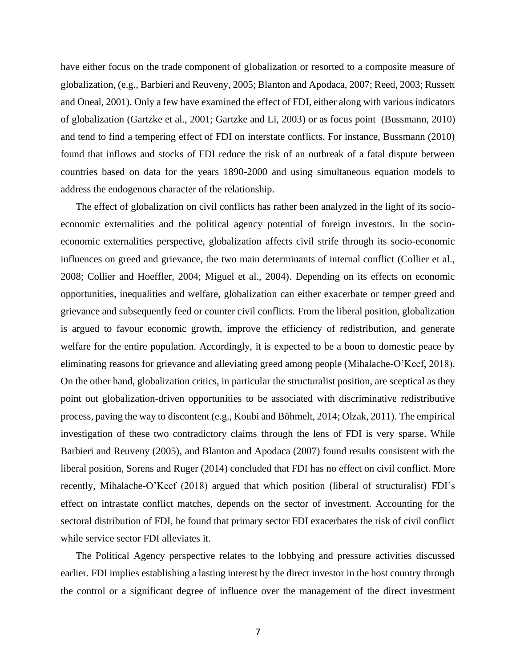have either focus on the trade component of globalization or resorted to a composite measure of globalization, (e.g., Barbieri and Reuveny, 2005; Blanton and Apodaca, 2007; Reed, 2003; Russett and Oneal, 2001). Only a few have examined the effect of FDI, either along with various indicators of globalization (Gartzke et al., 2001; Gartzke and Li, 2003) or as focus point (Bussmann, 2010) and tend to find a tempering effect of FDI on interstate conflicts. For instance, Bussmann (2010) found that inflows and stocks of FDI reduce the risk of an outbreak of a fatal dispute between countries based on data for the years 1890-2000 and using simultaneous equation models to address the endogenous character of the relationship.

The effect of globalization on civil conflicts has rather been analyzed in the light of its socioeconomic externalities and the political agency potential of foreign investors. In the socioeconomic externalities perspective, globalization affects civil strife through its socio-economic influences on greed and grievance, the two main determinants of internal conflict (Collier et al., 2008; Collier and Hoeffler, 2004; Miguel et al., 2004). Depending on its effects on economic opportunities, inequalities and welfare, globalization can either exacerbate or temper greed and grievance and subsequently feed or counter civil conflicts. From the liberal position, globalization is argued to favour economic growth, improve the efficiency of redistribution, and generate welfare for the entire population. Accordingly, it is expected to be a boon to domestic peace by eliminating reasons for grievance and alleviating greed among people (Mihalache-O'Keef, 2018). On the other hand, globalization critics, in particular the structuralist position, are sceptical as they point out globalization-driven opportunities to be associated with discriminative redistributive process, paving the way to discontent (e.g., Koubi and Böhmelt, 2014; Olzak, 2011). The empirical investigation of these two contradictory claims through the lens of FDI is very sparse. While Barbieri and Reuveny (2005), and Blanton and Apodaca (2007) found results consistent with the liberal position, Sorens and Ruger (2014) concluded that FDI has no effect on civil conflict. More recently, Mihalache-O'Keef (2018) argued that which position (liberal of structuralist) FDI's effect on intrastate conflict matches, depends on the sector of investment. Accounting for the sectoral distribution of FDI, he found that primary sector FDI exacerbates the risk of civil conflict while service sector FDI alleviates it.

The Political Agency perspective relates to the lobbying and pressure activities discussed earlier. FDI implies establishing a lasting interest by the direct investor in the host country through the control or a significant degree of influence over the management of the direct investment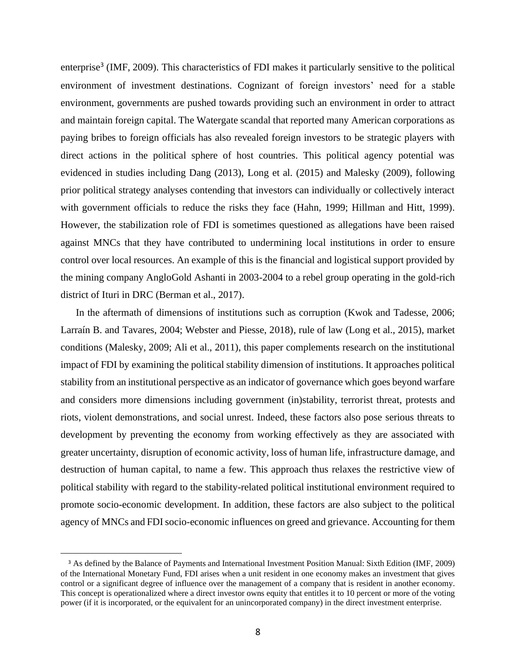enterprise<sup>3</sup> (IMF, 2009). This characteristics of FDI makes it particularly sensitive to the political environment of investment destinations. Cognizant of foreign investors' need for a stable environment, governments are pushed towards providing such an environment in order to attract and maintain foreign capital. The Watergate scandal that reported many American corporations as paying bribes to foreign officials has also revealed foreign investors to be strategic players with direct actions in the political sphere of host countries. This political agency potential was evidenced in studies including Dang (2013), Long et al. (2015) and Malesky (2009), following prior political strategy analyses contending that investors can individually or collectively interact with government officials to reduce the risks they face (Hahn, 1999; Hillman and Hitt, 1999). However, the stabilization role of FDI is sometimes questioned as allegations have been raised against MNCs that they have contributed to undermining local institutions in order to ensure control over local resources. An example of this is the financial and logistical support provided by the mining company AngloGold Ashanti in 2003-2004 to a rebel group operating in the gold-rich district of Ituri in DRC (Berman et al., 2017).

In the aftermath of dimensions of institutions such as corruption (Kwok and Tadesse, 2006; Larraín B. and Tavares, 2004; Webster and Piesse, 2018), rule of law (Long et al., 2015), market conditions (Malesky, 2009; Ali et al., 2011), this paper complements research on the institutional impact of FDI by examining the political stability dimension of institutions. It approaches political stability from an institutional perspective as an indicator of governance which goes beyond warfare and considers more dimensions including government (in)stability, terrorist threat, protests and riots, violent demonstrations, and social unrest. Indeed, these factors also pose serious threats to development by preventing the economy from working effectively as they are associated with greater uncertainty, disruption of economic activity, loss of human life, infrastructure damage, and destruction of human capital, to name a few. This approach thus relaxes the restrictive view of political stability with regard to the stability-related political institutional environment required to promote socio-economic development. In addition, these factors are also subject to the political agency of MNCs and FDI socio-economic influences on greed and grievance. Accounting for them

<sup>3</sup> As defined by the Balance of Payments and International Investment Position Manual: Sixth Edition (IMF, 2009) of the International Monetary Fund, FDI arises when a unit resident in one economy makes an investment that gives control or a significant degree of influence over the management of a company that is resident in another economy. This concept is operationalized where a direct investor owns equity that entitles it to 10 percent or more of the voting power (if it is incorporated, or the equivalent for an unincorporated company) in the direct investment enterprise.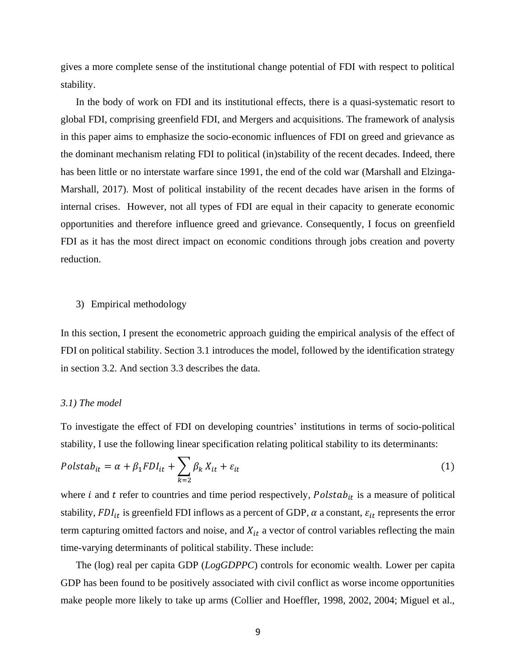gives a more complete sense of the institutional change potential of FDI with respect to political stability.

In the body of work on FDI and its institutional effects, there is a quasi-systematic resort to global FDI, comprising greenfield FDI, and Mergers and acquisitions. The framework of analysis in this paper aims to emphasize the socio-economic influences of FDI on greed and grievance as the dominant mechanism relating FDI to political (in)stability of the recent decades. Indeed, there has been little or no interstate warfare since 1991, the end of the cold war (Marshall and Elzinga-Marshall, 2017). Most of political instability of the recent decades have arisen in the forms of internal crises. However, not all types of FDI are equal in their capacity to generate economic opportunities and therefore influence greed and grievance. Consequently, I focus on greenfield FDI as it has the most direct impact on economic conditions through jobs creation and poverty reduction.

#### 3) Empirical methodology

In this section, I present the econometric approach guiding the empirical analysis of the effect of FDI on political stability. Section 3.1 introduces the model, followed by the identification strategy in section 3.2. And section 3.3 describes the data.

#### *3.1) The model*

To investigate the effect of FDI on developing countries' institutions in terms of socio-political stability, I use the following linear specification relating political stability to its determinants:

$$
Polstab_{it} = \alpha + \beta_1 FDI_{it} + \sum_{k=2} \beta_k X_{it} + \varepsilon_{it}
$$
\n
$$
\tag{1}
$$

where *i* and *t* refer to countries and time period respectively,  $Polstab_{it}$  is a measure of political stability,  $FDI_{it}$  is greenfield FDI inflows as a percent of GDP,  $\alpha$  a constant,  $\varepsilon_{it}$  represents the error term capturing omitted factors and noise, and  $X_{it}$  a vector of control variables reflecting the main time-varying determinants of political stability. These include:

The (log) real per capita GDP (*LogGDPPC*) controls for economic wealth. Lower per capita GDP has been found to be positively associated with civil conflict as worse income opportunities make people more likely to take up arms (Collier and Hoeffler, 1998, 2002, 2004; Miguel et al.,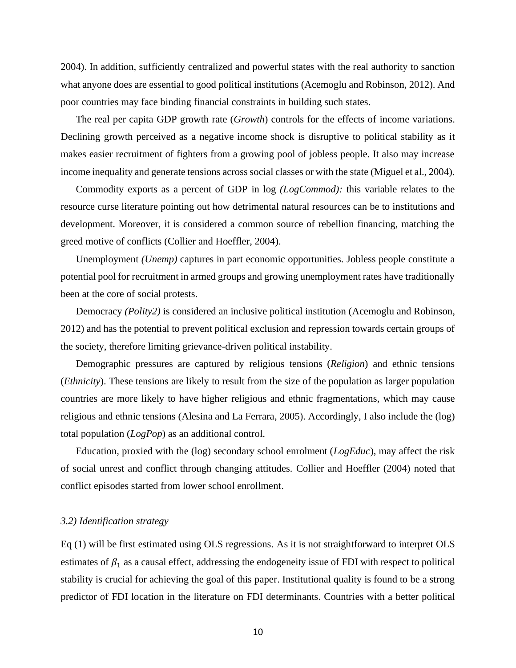2004). In addition, sufficiently centralized and powerful states with the real authority to sanction what anyone does are essential to good political institutions (Acemoglu and Robinson, 2012). And poor countries may face binding financial constraints in building such states.

The real per capita GDP growth rate (*Growth*) controls for the effects of income variations. Declining growth perceived as a negative income shock is disruptive to political stability as it makes easier recruitment of fighters from a growing pool of jobless people. It also may increase income inequality and generate tensions across social classes or with the state (Miguel et al., 2004).

Commodity exports as a percent of GDP in log *(LogCommod):* this variable relates to the resource curse literature pointing out how detrimental natural resources can be to institutions and development. Moreover, it is considered a common source of rebellion financing, matching the greed motive of conflicts (Collier and Hoeffler, 2004).

Unemployment *(Unemp)* captures in part economic opportunities*.* Jobless people constitute a potential pool for recruitment in armed groups and growing unemployment rates have traditionally been at the core of social protests.

Democracy *(Polity2)* is considered an inclusive political institution (Acemoglu and Robinson, 2012) and has the potential to prevent political exclusion and repression towards certain groups of the society, therefore limiting grievance-driven political instability.

Demographic pressures are captured by religious tensions (*Religion*) and ethnic tensions (*Ethnicity*). These tensions are likely to result from the size of the population as larger population countries are more likely to have higher religious and ethnic fragmentations, which may cause religious and ethnic tensions (Alesina and La Ferrara, 2005). Accordingly, I also include the (log) total population (*LogPop*) as an additional control.

Education*,* proxied with the (log) secondary school enrolment (*LogEduc*), may affect the risk of social unrest and conflict through changing attitudes*.* Collier and Hoeffler (2004) noted that conflict episodes started from lower school enrollment.

# *3.2) Identification strategy*

Eq (1) will be first estimated using OLS regressions. As it is not straightforward to interpret OLS estimates of  $\beta_1$  as a causal effect, addressing the endogeneity issue of FDI with respect to political stability is crucial for achieving the goal of this paper. Institutional quality is found to be a strong predictor of FDI location in the literature on FDI determinants. Countries with a better political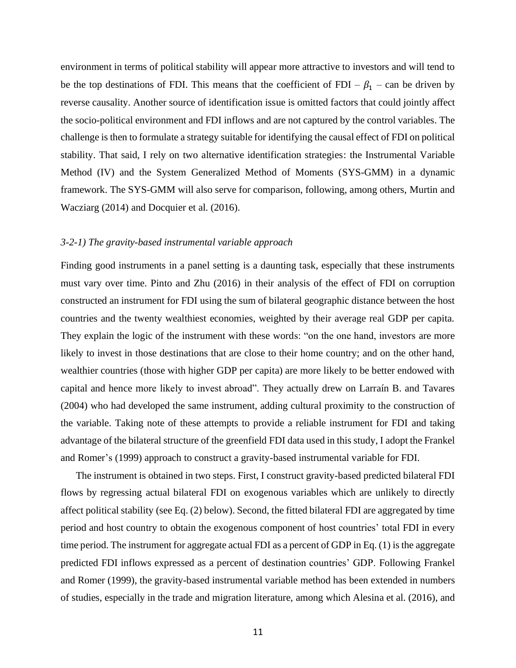environment in terms of political stability will appear more attractive to investors and will tend to be the top destinations of FDI. This means that the coefficient of FDI –  $\beta_1$  – can be driven by reverse causality. Another source of identification issue is omitted factors that could jointly affect the socio-political environment and FDI inflows and are not captured by the control variables. The challenge is then to formulate a strategy suitable for identifying the causal effect of FDI on political stability. That said, I rely on two alternative identification strategies: the Instrumental Variable Method (IV) and the System Generalized Method of Moments (SYS-GMM) in a dynamic framework. The SYS-GMM will also serve for comparison, following, among others, Murtin and Wacziarg (2014) and Docquier et al. (2016).

#### *3-2-1) The gravity-based instrumental variable approach*

Finding good instruments in a panel setting is a daunting task, especially that these instruments must vary over time. Pinto and Zhu (2016) in their analysis of the effect of FDI on corruption constructed an instrument for FDI using the sum of bilateral geographic distance between the host countries and the twenty wealthiest economies, weighted by their average real GDP per capita. They explain the logic of the instrument with these words: "on the one hand, investors are more likely to invest in those destinations that are close to their home country; and on the other hand, wealthier countries (those with higher GDP per capita) are more likely to be better endowed with capital and hence more likely to invest abroad". They actually drew on Larraín B. and Tavares (2004) who had developed the same instrument, adding cultural proximity to the construction of the variable. Taking note of these attempts to provide a reliable instrument for FDI and taking advantage of the bilateral structure of the greenfield FDI data used in this study, I adopt the Frankel and Romer's (1999) approach to construct a gravity-based instrumental variable for FDI.

The instrument is obtained in two steps. First, I construct gravity-based predicted bilateral FDI flows by regressing actual bilateral FDI on exogenous variables which are unlikely to directly affect political stability (see Eq. (2) below). Second, the fitted bilateral FDI are aggregated by time period and host country to obtain the exogenous component of host countries' total FDI in every time period. The instrument for aggregate actual FDI as a percent of GDP in Eq. (1) is the aggregate predicted FDI inflows expressed as a percent of destination countries' GDP. Following Frankel and Romer (1999), the gravity-based instrumental variable method has been extended in numbers of studies, especially in the trade and migration literature, among which Alesina et al. (2016), and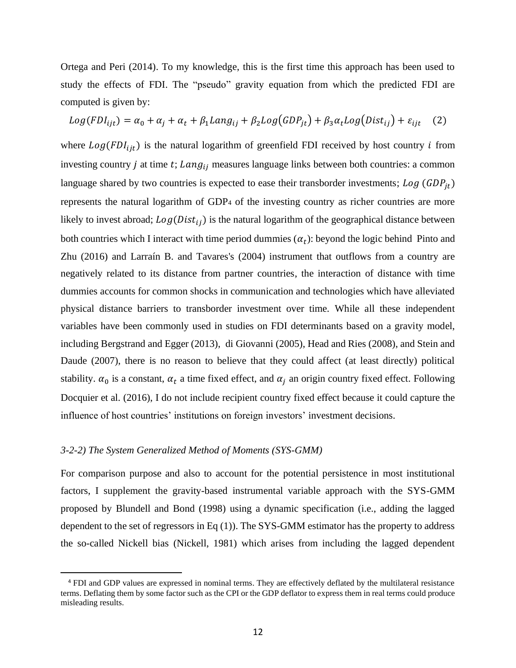Ortega and Peri (2014). To my knowledge, this is the first time this approach has been used to study the effects of FDI. The "pseudo" gravity equation from which the predicted FDI are computed is given by:

$$
Log(FDI_{ijt}) = \alpha_0 + \alpha_j + \alpha_t + \beta_1 Lang_{ij} + \beta_2 Log(GDP_{jt}) + \beta_3 \alpha_t Log(Dist_{ij}) + \varepsilon_{ijt} \quad (2)
$$

where  $Log(FDI_{ijt})$  is the natural logarithm of greenfield FDI received by host country *i* from investing country  $j$  at time  $t$ ;  $Lang_{ij}$  measures language links between both countries: a common language shared by two countries is expected to ease their transborder investments;  $Log(GDP_{it})$ represents the natural logarithm of GDP<sup>4</sup> of the investing country as richer countries are more likely to invest abroad;  $Log(Dist_{ij})$  is the natural logarithm of the geographical distance between both countries which I interact with time period dummies  $(\alpha_t)$ : beyond the logic behind Pinto and Zhu (2016) and Larraín B. and Tavares's (2004) instrument that outflows from a country are negatively related to its distance from partner countries, the interaction of distance with time dummies accounts for common shocks in communication and technologies which have alleviated physical distance barriers to transborder investment over time. While all these independent variables have been commonly used in studies on FDI determinants based on a gravity model, including Bergstrand and Egger (2013), di Giovanni (2005), Head and Ries (2008), and Stein and Daude (2007), there is no reason to believe that they could affect (at least directly) political stability.  $\alpha_0$  is a constant,  $\alpha_t$  a time fixed effect, and  $\alpha_j$  an origin country fixed effect. Following Docquier et al. (2016), I do not include recipient country fixed effect because it could capture the influence of host countries' institutions on foreign investors' investment decisions.

#### *3-2-2) The System Generalized Method of Moments (SYS-GMM)*

For comparison purpose and also to account for the potential persistence in most institutional factors, I supplement the gravity-based instrumental variable approach with the SYS-GMM proposed by Blundell and Bond (1998) using a dynamic specification (i.e., adding the lagged dependent to the set of regressors in Eq (1)). The SYS-GMM estimator has the property to address the so-called Nickell bias (Nickell, 1981) which arises from including the lagged dependent

<sup>4</sup> FDI and GDP values are expressed in nominal terms. They are effectively deflated by the multilateral resistance terms. Deflating them by some factor such as the CPI or the GDP deflator to express them in real terms could produce misleading results.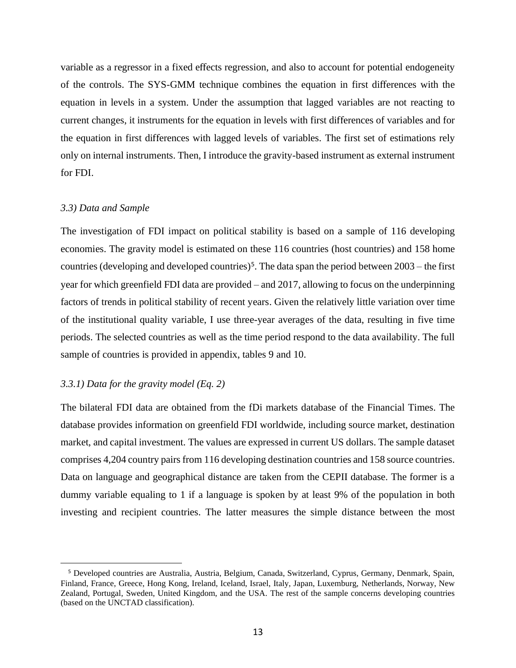variable as a regressor in a fixed effects regression, and also to account for potential endogeneity of the controls. The SYS-GMM technique combines the equation in first differences with the equation in levels in a system. Under the assumption that lagged variables are not reacting to current changes, it instruments for the equation in levels with first differences of variables and for the equation in first differences with lagged levels of variables. The first set of estimations rely only on internal instruments. Then, I introduce the gravity-based instrument as external instrument for FDI.

#### *3.3) Data and Sample*

The investigation of FDI impact on political stability is based on a sample of 116 developing economies. The gravity model is estimated on these 116 countries (host countries) and 158 home countries (developing and developed countries)<sup>5</sup>. The data span the period between  $2003$  – the first year for which greenfield FDI data are provided – and 2017, allowing to focus on the underpinning factors of trends in political stability of recent years. Given the relatively little variation over time of the institutional quality variable, I use three-year averages of the data, resulting in five time periods. The selected countries as well as the time period respond to the data availability. The full sample of countries is provided in appendix, tables 9 and 10.

# *3.3.1) Data for the gravity model (Eq. 2)*

The bilateral FDI data are obtained from the fDi markets database of the Financial Times. The database provides information on greenfield FDI worldwide, including source market, destination market, and capital investment. The values are expressed in current US dollars. The sample dataset comprises 4,204 country pairs from 116 developing destination countries and 158 source countries. Data on language and geographical distance are taken from the CEPII database. The former is a dummy variable equaling to 1 if a language is spoken by at least 9% of the population in both investing and recipient countries. The latter measures the simple distance between the most

<sup>5</sup> Developed countries are Australia, Austria, Belgium, Canada, Switzerland, Cyprus, Germany, Denmark, Spain, Finland, France, Greece, Hong Kong, Ireland, Iceland, Israel, Italy, Japan, Luxemburg, Netherlands, Norway, New Zealand, Portugal, Sweden, United Kingdom, and the USA. The rest of the sample concerns developing countries (based on the UNCTAD classification).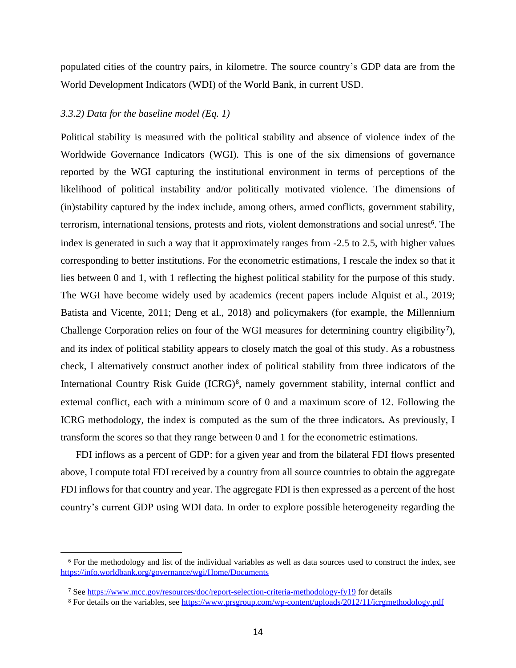populated cities of the country pairs, in kilometre. The source country's GDP data are from the World Development Indicators (WDI) of the World Bank, in current USD.

# *3.3.2) Data for the baseline model (Eq. 1)*

Political stability is measured with the political stability and absence of violence index of the Worldwide Governance Indicators (WGI). This is one of the six dimensions of governance reported by the WGI capturing the institutional environment in terms of perceptions of the likelihood of political instability and/or politically motivated violence. The dimensions of (in)stability captured by the index include, among others, armed conflicts, government stability, terrorism, international tensions, protests and riots, violent demonstrations and social unrest<sup>6</sup>. The index is generated in such a way that it approximately ranges from -2.5 to 2.5, with higher values corresponding to better institutions. For the econometric estimations, I rescale the index so that it lies between 0 and 1, with 1 reflecting the highest political stability for the purpose of this study. The WGI have become widely used by academics (recent papers include Alquist et al., 2019; Batista and Vicente, 2011; Deng et al., 2018) and policymakers (for example, the Millennium Challenge Corporation relies on four of the WGI measures for determining country eligibility<sup>7</sup>), and its index of political stability appears to closely match the goal of this study. As a robustness check, I alternatively construct another index of political stability from three indicators of the International Country Risk Guide (ICRG) 8 , namely government stability, internal conflict and external conflict, each with a minimum score of 0 and a maximum score of 12. Following the ICRG methodology, the index is computed as the sum of the three indicators**.** As previously, I transform the scores so that they range between 0 and 1 for the econometric estimations.

FDI inflows as a percent of GDP: for a given year and from the bilateral FDI flows presented above, I compute total FDI received by a country from all source countries to obtain the aggregate FDI inflows for that country and year. The aggregate FDI is then expressed as a percent of the host country's current GDP using WDI data. In order to explore possible heterogeneity regarding the

<sup>6</sup> For the methodology and list of the individual variables as well as data sources used to construct the index, see <https://info.worldbank.org/governance/wgi/Home/Documents>

<sup>7</sup> Se[e https://www.mcc.gov/resources/doc/report-selection-criteria-methodology-fy19](https://www.mcc.gov/resources/doc/report-selection-criteria-methodology-fy19) for details

<sup>8</sup> For details on the variables, se[e https://www.prsgroup.com/wp-content/uploads/2012/11/icrgmethodology.pdf](https://www.prsgroup.com/wp-content/uploads/2012/11/icrgmethodology.pdf)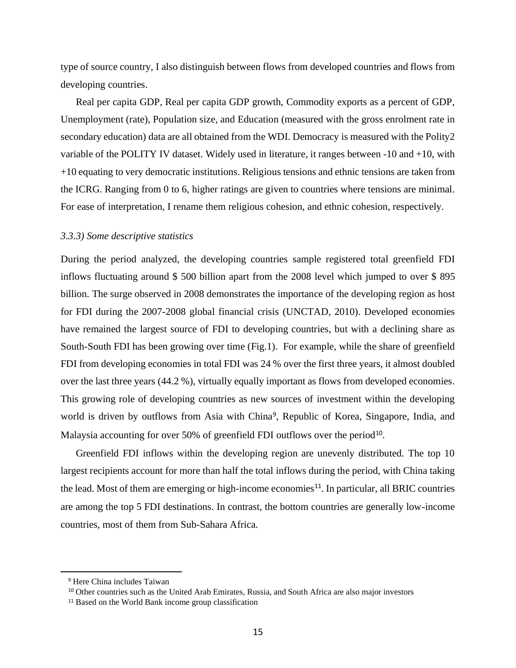type of source country, I also distinguish between flows from developed countries and flows from developing countries.

Real per capita GDP, Real per capita GDP growth, Commodity exports as a percent of GDP, Unemployment (rate), Population size, and Education (measured with the gross enrolment rate in secondary education) data are all obtained from the WDI. Democracy is measured with the Polity2 variable of the POLITY IV dataset. Widely used in literature, it ranges between -10 and +10, with +10 equating to very democratic institutions. Religious tensions and ethnic tensions are taken from the ICRG. Ranging from 0 to 6, higher ratings are given to countries where tensions are minimal. For ease of interpretation, I rename them religious cohesion, and ethnic cohesion*,* respectively.

#### *3.3.3) Some descriptive statistics*

During the period analyzed, the developing countries sample registered total greenfield FDI inflows fluctuating around \$ 500 billion apart from the 2008 level which jumped to over \$ 895 billion. The surge observed in 2008 demonstrates the importance of the developing region as host for FDI during the 2007-2008 global financial crisis (UNCTAD, 2010). Developed economies have remained the largest source of FDI to developing countries, but with a declining share as South-South FDI has been growing over time (Fig.1). For example, while the share of greenfield FDI from developing economies in total FDI was 24 % over the first three years, it almost doubled over the last three years (44.2 %), virtually equally important as flows from developed economies. This growing role of developing countries as new sources of investment within the developing world is driven by outflows from Asia with China<sup>9</sup>, Republic of Korea, Singapore, India, and Malaysia accounting for over 50% of greenfield FDI outflows over the period<sup>10</sup>.

Greenfield FDI inflows within the developing region are unevenly distributed. The top 10 largest recipients account for more than half the total inflows during the period, with China taking the lead. Most of them are emerging or high-income economies<sup>11</sup>. In particular, all BRIC countries are among the top 5 FDI destinations. In contrast, the bottom countries are generally low-income countries, most of them from Sub-Sahara Africa.

<sup>9</sup> Here China includes Taiwan

<sup>10</sup> Other countries such as the United Arab Emirates, Russia, and South Africa are also major investors

<sup>11</sup> Based on the World Bank income group classification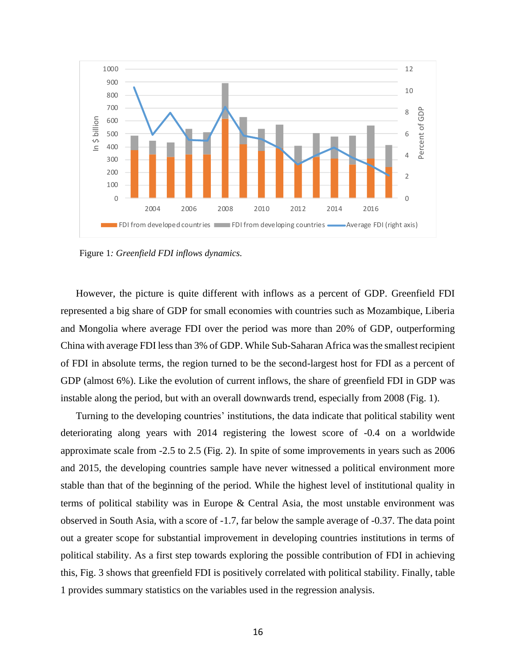

Figure 1*: Greenfield FDI inflows dynamics.* 

However, the picture is quite different with inflows as a percent of GDP. Greenfield FDI represented a big share of GDP for small economies with countries such as Mozambique, Liberia and Mongolia where average FDI over the period was more than 20% of GDP, outperforming China with average FDI less than 3% of GDP. While Sub-Saharan Africa was the smallest recipient of FDI in absolute terms, the region turned to be the second-largest host for FDI as a percent of GDP (almost 6%). Like the evolution of current inflows, the share of greenfield FDI in GDP was instable along the period, but with an overall downwards trend, especially from 2008 (Fig. 1).

Turning to the developing countries' institutions, the data indicate that political stability went deteriorating along years with 2014 registering the lowest score of -0.4 on a worldwide approximate scale from -2.5 to 2.5 (Fig. 2). In spite of some improvements in years such as 2006 and 2015, the developing countries sample have never witnessed a political environment more stable than that of the beginning of the period. While the highest level of institutional quality in terms of political stability was in Europe & Central Asia, the most unstable environment was observed in South Asia, with a score of -1.7, far below the sample average of -0.37. The data point out a greater scope for substantial improvement in developing countries institutions in terms of political stability. As a first step towards exploring the possible contribution of FDI in achieving this, Fig. 3 shows that greenfield FDI is positively correlated with political stability. Finally, table 1 provides summary statistics on the variables used in the regression analysis.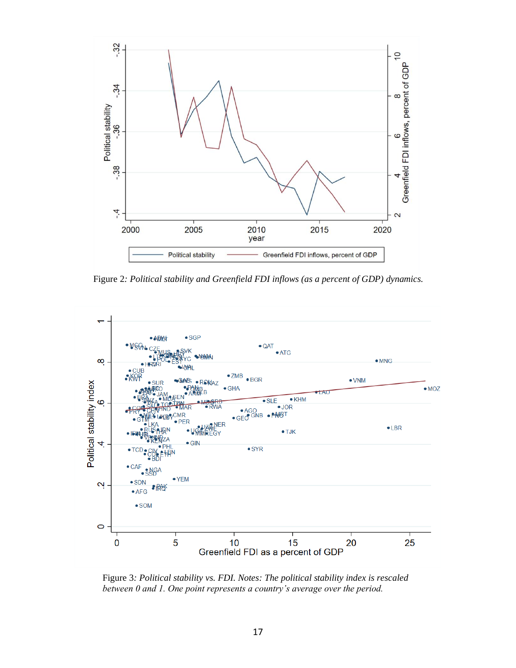

Figure 2*: Political stability and Greenfield FDI inflows (as a percent of GDP) dynamics.* 



Figure 3*: Political stability vs. FDI. Notes: The political stability index is rescaled between 0 and 1. One point represents a country's average over the period.*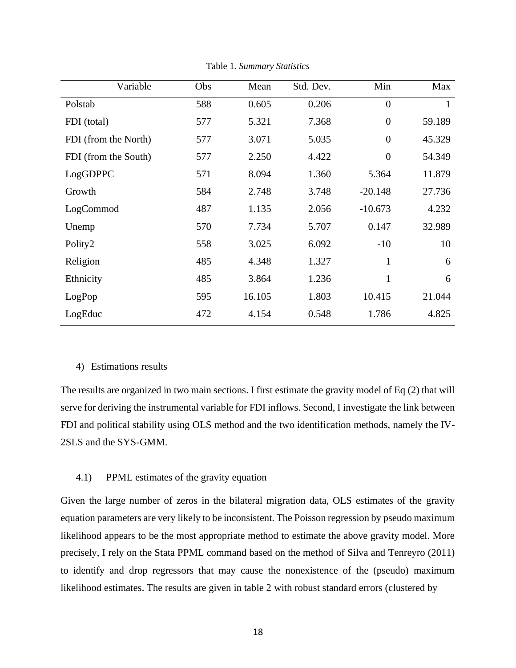| Variable             | Obs | Mean   | Std. Dev. | Min            | Max    |
|----------------------|-----|--------|-----------|----------------|--------|
| Polstab              | 588 | 0.605  | 0.206     | $\overline{0}$ | 1      |
| FDI (total)          | 577 | 5.321  | 7.368     | $\overline{0}$ | 59.189 |
| FDI (from the North) | 577 | 3.071  | 5.035     | $\overline{0}$ | 45.329 |
| FDI (from the South) | 577 | 2.250  | 4.422     | $\overline{0}$ | 54.349 |
| LogGDPPC             | 571 | 8.094  | 1.360     | 5.364          | 11.879 |
| Growth               | 584 | 2.748  | 3.748     | $-20.148$      | 27.736 |
| LogCommod            | 487 | 1.135  | 2.056     | $-10.673$      | 4.232  |
| Unemp                | 570 | 7.734  | 5.707     | 0.147          | 32.989 |
| Polity2              | 558 | 3.025  | 6.092     | $-10$          | 10     |
| Religion             | 485 | 4.348  | 1.327     | 1              | 6      |
| Ethnicity            | 485 | 3.864  | 1.236     |                | 6      |
| LogPop               | 595 | 16.105 | 1.803     | 10.415         | 21.044 |
| LogEduc              | 472 | 4.154  | 0.548     | 1.786          | 4.825  |

Table 1*. Summary Statistics*

#### 4) Estimations results

The results are organized in two main sections. I first estimate the gravity model of Eq (2) that will serve for deriving the instrumental variable for FDI inflows. Second, I investigate the link between FDI and political stability using OLS method and the two identification methods, namely the IV-2SLS and the SYS-GMM.

# 4.1) PPML estimates of the gravity equation

Given the large number of zeros in the bilateral migration data, OLS estimates of the gravity equation parameters are very likely to be inconsistent. The Poisson regression by pseudo maximum likelihood appears to be the most appropriate method to estimate the above gravity model. More precisely, I rely on the Stata PPML command based on the method of Silva and Tenreyro (2011) to identify and drop regressors that may cause the nonexistence of the (pseudo) maximum likelihood estimates. The results are given in table 2 with robust standard errors (clustered by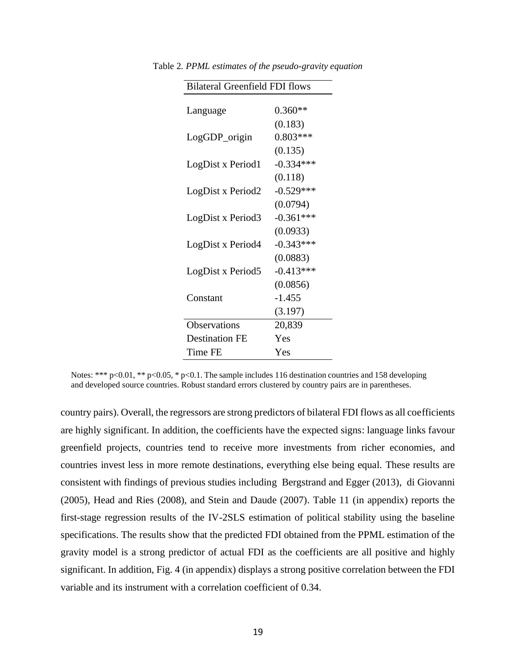| <b>Bilateral Greenfield FDI flows</b> |             |  |  |  |  |  |
|---------------------------------------|-------------|--|--|--|--|--|
|                                       |             |  |  |  |  |  |
| Language                              | $0.360**$   |  |  |  |  |  |
|                                       | (0.183)     |  |  |  |  |  |
| LogGDP_origin                         | $0.803***$  |  |  |  |  |  |
|                                       | (0.135)     |  |  |  |  |  |
| LogDist x Period1                     | $-0.334***$ |  |  |  |  |  |
|                                       | (0.118)     |  |  |  |  |  |
| LogDist x Period2                     | $-0.529***$ |  |  |  |  |  |
|                                       | (0.0794)    |  |  |  |  |  |
| LogDist x Period3                     | $-0.361***$ |  |  |  |  |  |
|                                       | (0.0933)    |  |  |  |  |  |
| LogDist x Period4                     | $-0.343***$ |  |  |  |  |  |
|                                       | (0.0883)    |  |  |  |  |  |
| LogDist x Period5                     | $-0.413***$ |  |  |  |  |  |
|                                       | (0.0856)    |  |  |  |  |  |
| Constant                              | $-1.455$    |  |  |  |  |  |
|                                       | (3.197)     |  |  |  |  |  |
| Observations                          | 20,839      |  |  |  |  |  |
| <b>Destination FE</b>                 | Yes         |  |  |  |  |  |
| Time FE                               | Yes         |  |  |  |  |  |

Table 2*. PPML estimates of the pseudo-gravity equation*

Notes: \*\*\* p<0.01, \*\* p<0.05, \* p<0.1. The sample includes 116 destination countries and 158 developing and developed source countries. Robust standard errors clustered by country pairs are in parentheses.

country pairs). Overall, the regressors are strong predictors of bilateral FDI flows as all coefficients are highly significant. In addition, the coefficients have the expected signs: language links favour greenfield projects, countries tend to receive more investments from richer economies, and countries invest less in more remote destinations, everything else being equal. These results are consistent with findings of previous studies including Bergstrand and Egger (2013), di Giovanni (2005), Head and Ries (2008), and Stein and Daude (2007). Table 11 (in appendix) reports the first-stage regression results of the IV-2SLS estimation of political stability using the baseline specifications. The results show that the predicted FDI obtained from the PPML estimation of the gravity model is a strong predictor of actual FDI as the coefficients are all positive and highly significant. In addition, Fig. 4 (in appendix) displays a strong positive correlation between the FDI variable and its instrument with a correlation coefficient of 0.34.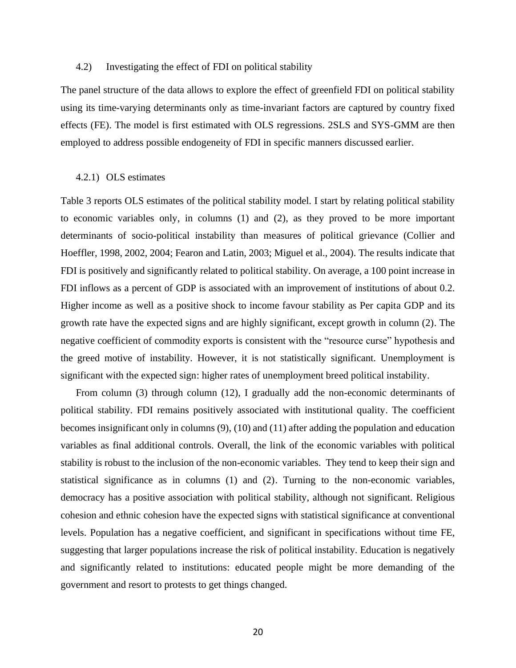#### 4.2) Investigating the effect of FDI on political stability

The panel structure of the data allows to explore the effect of greenfield FDI on political stability using its time-varying determinants only as time-invariant factors are captured by country fixed effects (FE). The model is first estimated with OLS regressions. 2SLS and SYS-GMM are then employed to address possible endogeneity of FDI in specific manners discussed earlier.

#### 4.2.1) OLS estimates

Table 3 reports OLS estimates of the political stability model. I start by relating political stability to economic variables only, in columns (1) and (2), as they proved to be more important determinants of socio-political instability than measures of political grievance (Collier and Hoeffler, 1998, 2002, 2004; Fearon and Latin, 2003; Miguel et al., 2004). The results indicate that FDI is positively and significantly related to political stability. On average, a 100 point increase in FDI inflows as a percent of GDP is associated with an improvement of institutions of about 0.2. Higher income as well as a positive shock to income favour stability as Per capita GDP and its growth rate have the expected signs and are highly significant, except growth in column (2). The negative coefficient of commodity exports is consistent with the "resource curse" hypothesis and the greed motive of instability. However, it is not statistically significant. Unemployment is significant with the expected sign: higher rates of unemployment breed political instability.

From column (3) through column (12), I gradually add the non-economic determinants of political stability. FDI remains positively associated with institutional quality. The coefficient becomes insignificant only in columns (9), (10) and (11) after adding the population and education variables as final additional controls. Overall, the link of the economic variables with political stability is robust to the inclusion of the non-economic variables. They tend to keep their sign and statistical significance as in columns (1) and (2). Turning to the non-economic variables, democracy has a positive association with political stability, although not significant. Religious cohesion and ethnic cohesion have the expected signs with statistical significance at conventional levels. Population has a negative coefficient, and significant in specifications without time FE, suggesting that larger populations increase the risk of political instability. Education is negatively and significantly related to institutions: educated people might be more demanding of the government and resort to protests to get things changed.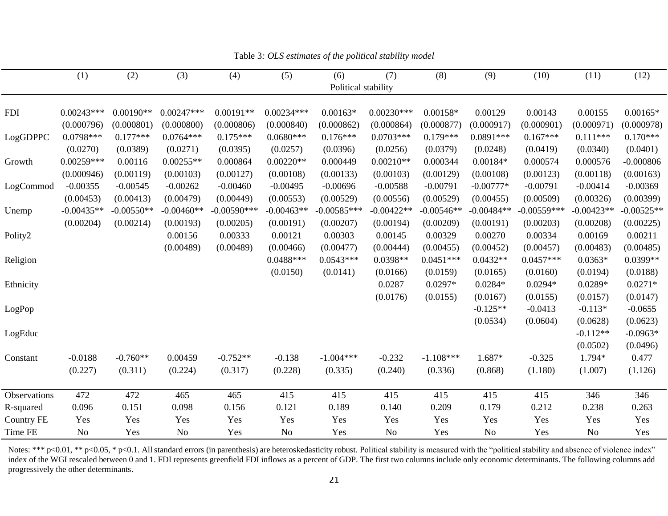|                   | (1)          | (2)          | (3)          | (4)            | (5)            | (6)                 | (7)            | (8)          | (9)            | (10)          | (11)           | (12)         |
|-------------------|--------------|--------------|--------------|----------------|----------------|---------------------|----------------|--------------|----------------|---------------|----------------|--------------|
|                   |              |              |              |                |                | Political stability |                |              |                |               |                |              |
|                   |              |              |              |                |                |                     |                |              |                |               |                |              |
| <b>FDI</b>        | $0.00243***$ | $0.00190**$  | $0.00247***$ | $0.00191**$    | $0.00234***$   | $0.00163*$          | $0.00230***$   | $0.00158*$   | 0.00129        | 0.00143       | 0.00155        | $0.00165*$   |
|                   | (0.000796)   | (0.000801)   | (0.000800)   | (0.000806)     | (0.000840)     | (0.000862)          | (0.000864)     | (0.000877)   | (0.000917)     | (0.000901)    | (0.000971)     | (0.000978)   |
| LogGDPPC          | $0.0798***$  | $0.177***$   | $0.0764***$  | $0.175***$     | $0.0680***$    | $0.176***$          | $0.0703***$    | $0.179***$   | $0.0891***$    | $0.167***$    | $0.111***$     | $0.170***$   |
|                   | (0.0270)     | (0.0389)     | (0.0271)     | (0.0395)       | (0.0257)       | (0.0396)            | (0.0256)       | (0.0379)     | (0.0248)       | (0.0419)      | (0.0340)       | (0.0401)     |
| Growth            | $0.00259***$ | 0.00116      | $0.00255**$  | 0.000864       | $0.00220**$    | 0.000449            | $0.00210**$    | 0.000344     | $0.00184*$     | 0.000574      | 0.000576       | $-0.000806$  |
|                   | (0.000946)   | (0.00119)    | (0.00103)    | (0.00127)      | (0.00108)      | (0.00133)           | (0.00103)      | (0.00129)    | (0.00108)      | (0.00123)     | (0.00118)      | (0.00163)    |
| LogCommod         | $-0.00355$   | $-0.00545$   | $-0.00262$   | $-0.00460$     | $-0.00495$     | $-0.00696$          | $-0.00588$     | $-0.00791$   | $-0.00777*$    | $-0.00791$    | $-0.00414$     | $-0.00369$   |
|                   | (0.00453)    | (0.00413)    | (0.00479)    | (0.00449)      | (0.00553)      | (0.00529)           | (0.00556)      | (0.00529)    | (0.00455)      | (0.00509)     | (0.00326)      | (0.00399)    |
| Unemp             | $-0.00435**$ | $-0.00550**$ | $-0.00460**$ | $-0.00590$ *** | $-0.00463**$   | $-0.00585***$       | $-0.00422**$   | $-0.00546**$ | $-0.00484**$   | $-0.00559***$ | $-0.00423**$   | $-0.00525**$ |
|                   | (0.00204)    | (0.00214)    | (0.00193)    | (0.00205)      | (0.00191)      | (0.00207)           | (0.00194)      | (0.00209)    | (0.00191)      | (0.00203)     | (0.00208)      | (0.00225)    |
| Polity2           |              |              | 0.00156      | 0.00333        | 0.00121        | 0.00303             | 0.00145        | 0.00329      | 0.00270        | 0.00334       | 0.00169        | 0.00211      |
|                   |              |              | (0.00489)    | (0.00489)      | (0.00466)      | (0.00477)           | (0.00444)      | (0.00455)    | (0.00452)      | (0.00457)     | (0.00483)      | (0.00485)    |
| Religion          |              |              |              |                | $0.0488***$    | $0.0543***$         | $0.0398**$     | $0.0451***$  | $0.0432**$     | $0.0457***$   | $0.0363*$      | $0.0399**$   |
|                   |              |              |              |                | (0.0150)       | (0.0141)            | (0.0166)       | (0.0159)     | (0.0165)       | (0.0160)      | (0.0194)       | (0.0188)     |
| Ethnicity         |              |              |              |                |                |                     | 0.0287         | $0.0297*$    | $0.0284*$      | $0.0294*$     | $0.0289*$      | $0.0271*$    |
|                   |              |              |              |                |                |                     | (0.0176)       | (0.0155)     | (0.0167)       | (0.0155)      | (0.0157)       | (0.0147)     |
| LogPop            |              |              |              |                |                |                     |                |              | $-0.125**$     | $-0.0413$     | $-0.113*$      | $-0.0655$    |
|                   |              |              |              |                |                |                     |                |              | (0.0534)       | (0.0604)      | (0.0628)       | (0.0623)     |
| LogEduc           |              |              |              |                |                |                     |                |              |                |               | $-0.112**$     | $-0.0963*$   |
|                   |              |              |              |                |                |                     |                |              |                |               | (0.0502)       | (0.0496)     |
| Constant          | $-0.0188$    | $-0.760**$   | 0.00459      | $-0.752**$     | $-0.138$       | $-1.004***$         | $-0.232$       | $-1.108***$  | 1.687*         | $-0.325$      | 1.794*         | 0.477        |
|                   | (0.227)      | (0.311)      | (0.224)      | (0.317)        | (0.228)        | (0.335)             | (0.240)        | (0.336)      | (0.868)        | (1.180)       | (1.007)        | (1.126)      |
| Observations      | 472          | 472          | 465          | 465            | 415            | 415                 | 415            | 415          | 415            | 415           | 346            | 346          |
| R-squared         | 0.096        | 0.151        | 0.098        | 0.156          | 0.121          | 0.189               | 0.140          | 0.209        | 0.179          | 0.212         | 0.238          | 0.263        |
| <b>Country FE</b> | Yes          | Yes          | Yes          | Yes            | Yes            | Yes                 | Yes            | Yes          | Yes            | Yes           | Yes            | Yes          |
| Time FE           | No           | Yes          | No           | Yes            | N <sub>0</sub> | Yes                 | N <sub>0</sub> | Yes          | N <sub>0</sub> | Yes           | N <sub>0</sub> | Yes          |

Table 3*: OLS estimates of the political stability model*

Notes: \*\*\* p<0.01, \*\* p<0.05, \* p<0.1. All standard errors (in parenthesis) are heteroskedasticity robust. Political stability is measured with the "political stability and absence of violence index" index of the WGI rescaled between 0 and 1. FDI represents greenfield FDI inflows as a percent of GDP. The first two columns include only economic determinants. The following columns add progressively the other determinants.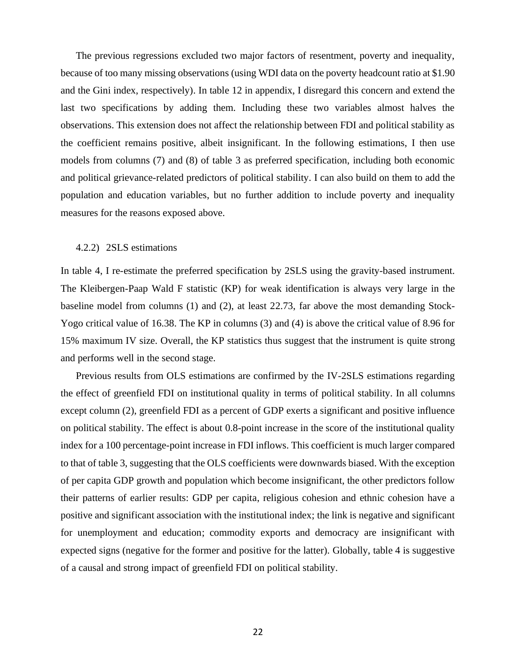The previous regressions excluded two major factors of resentment, poverty and inequality, because of too many missing observations (using WDI data on the poverty headcount ratio at \$1.90 and the Gini index, respectively). In table 12 in appendix, I disregard this concern and extend the last two specifications by adding them. Including these two variables almost halves the observations. This extension does not affect the relationship between FDI and political stability as the coefficient remains positive, albeit insignificant. In the following estimations, I then use models from columns (7) and (8) of table 3 as preferred specification, including both economic and political grievance-related predictors of political stability. I can also build on them to add the population and education variables, but no further addition to include poverty and inequality measures for the reasons exposed above.

#### 4.2.2) 2SLS estimations

In table 4, I re-estimate the preferred specification by 2SLS using the gravity-based instrument. The Kleibergen-Paap Wald F statistic (KP) for weak identification is always very large in the baseline model from columns (1) and (2), at least 22.73, far above the most demanding Stock-Yogo critical value of 16.38. The KP in columns (3) and (4) is above the critical value of 8.96 for 15% maximum IV size. Overall, the KP statistics thus suggest that the instrument is quite strong and performs well in the second stage.

Previous results from OLS estimations are confirmed by the IV-2SLS estimations regarding the effect of greenfield FDI on institutional quality in terms of political stability. In all columns except column (2), greenfield FDI as a percent of GDP exerts a significant and positive influence on political stability. The effect is about 0.8-point increase in the score of the institutional quality index for a 100 percentage-point increase in FDI inflows. This coefficient is much larger compared to that of table 3, suggesting that the OLS coefficients were downwards biased. With the exception of per capita GDP growth and population which become insignificant, the other predictors follow their patterns of earlier results: GDP per capita, religious cohesion and ethnic cohesion have a positive and significant association with the institutional index; the link is negative and significant for unemployment and education; commodity exports and democracy are insignificant with expected signs (negative for the former and positive for the latter). Globally, table 4 is suggestive of a causal and strong impact of greenfield FDI on political stability.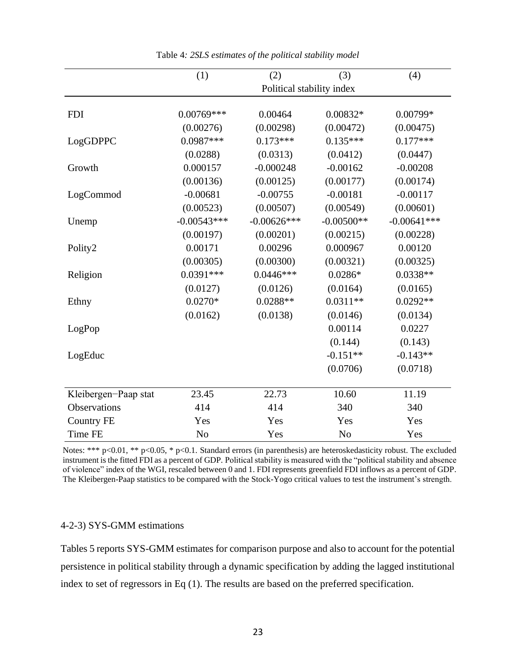|                      | (1)            | (2)                       | (3)            | (4)            |
|----------------------|----------------|---------------------------|----------------|----------------|
|                      |                | Political stability index |                |                |
|                      |                |                           |                |                |
| <b>FDI</b>           | $0.00769***$   | 0.00464                   | $0.00832*$     | 0.00799*       |
|                      | (0.00276)      | (0.00298)                 | (0.00472)      | (0.00475)      |
| LogGDPPC             | $0.0987***$    | $0.173***$                | $0.135***$     | $0.177***$     |
|                      | (0.0288)       | (0.0313)                  | (0.0412)       | (0.0447)       |
| Growth               | 0.000157       | $-0.000248$               | $-0.00162$     | $-0.00208$     |
|                      | (0.00136)      | (0.00125)                 | (0.00177)      | (0.00174)      |
| LogCommod            | $-0.00681$     | $-0.00755$                | $-0.00181$     | $-0.00117$     |
|                      | (0.00523)      | (0.00507)                 | (0.00549)      | (0.00601)      |
| Unemp                | $-0.00543***$  | $-0.00626***$             | $-0.00500**$   | $-0.00641$ *** |
|                      | (0.00197)      | (0.00201)                 | (0.00215)      | (0.00228)      |
| Polity2              | 0.00171        | 0.00296                   | 0.000967       | 0.00120        |
|                      | (0.00305)      | (0.00300)                 | (0.00321)      | (0.00325)      |
| Religion             | $0.0391***$    | $0.0446***$               | $0.0286*$      | $0.0338**$     |
|                      | (0.0127)       | (0.0126)                  | (0.0164)       | (0.0165)       |
| Ethny                | $0.0270*$      | $0.0288**$                | $0.0311**$     | $0.0292**$     |
|                      | (0.0162)       | (0.0138)                  | (0.0146)       | (0.0134)       |
| LogPop               |                |                           | 0.00114        | 0.0227         |
|                      |                |                           | (0.144)        | (0.143)        |
| LogEduc              |                |                           | $-0.151**$     | $-0.143**$     |
|                      |                |                           | (0.0706)       | (0.0718)       |
|                      |                |                           |                |                |
| Kleibergen-Paap stat | 23.45          | 22.73                     | 10.60          | 11.19          |
| Observations         | 414            | 414                       | 340            | 340            |
| <b>Country FE</b>    | Yes            | Yes                       | Yes            | Yes            |
| Time FE              | N <sub>o</sub> | Yes                       | N <sub>o</sub> | Yes            |

Table 4*: 2SLS estimates of the political stability model*

Notes: \*\*\* p<0.01, \*\* p<0.05, \* p<0.1. Standard errors (in parenthesis) are heteroskedasticity robust. The excluded instrument is the fitted FDI as a percent of GDP. Political stability is measured with the "political stability and absence of violence" index of the WGI, rescaled between 0 and 1. FDI represents greenfield FDI inflows as a percent of GDP. The Kleibergen-Paap statistics to be compared with the Stock-Yogo critical values to test the instrument's strength.

# 4-2-3) SYS-GMM estimations

Tables 5 reports SYS-GMM estimates for comparison purpose and also to account for the potential persistence in political stability through a dynamic specification by adding the lagged institutional index to set of regressors in Eq (1). The results are based on the preferred specification.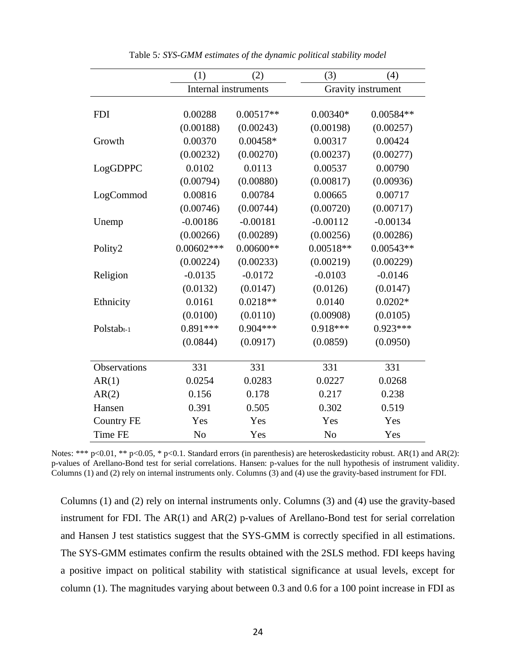|                     | (1)                  | (2)         | (3)            | (4)                |
|---------------------|----------------------|-------------|----------------|--------------------|
|                     | Internal instruments |             |                | Gravity instrument |
|                     |                      |             |                |                    |
| <b>FDI</b>          | 0.00288              | $0.00517**$ | $0.00340*$     | $0.00584**$        |
|                     | (0.00188)            | (0.00243)   | (0.00198)      | (0.00257)          |
| Growth              | 0.00370              | $0.00458*$  | 0.00317        | 0.00424            |
|                     | (0.00232)            | (0.00270)   | (0.00237)      | (0.00277)          |
| LogGDPPC            | 0.0102               | 0.0113      | 0.00537        | 0.00790            |
|                     | (0.00794)            | (0.00880)   | (0.00817)      | (0.00936)          |
| LogCommod           | 0.00816              | 0.00784     | 0.00665        | 0.00717            |
|                     | (0.00746)            | (0.00744)   | (0.00720)      | (0.00717)          |
| Unemp               | $-0.00186$           | $-0.00181$  | $-0.00112$     | $-0.00134$         |
|                     | (0.00266)            | (0.00289)   | (0.00256)      | (0.00286)          |
| Polity2             | $0.00602***$         | $0.00600**$ | $0.00518**$    | $0.00543**$        |
|                     | (0.00224)            | (0.00233)   | (0.00219)      | (0.00229)          |
| Religion            | $-0.0135$            | $-0.0172$   | $-0.0103$      | $-0.0146$          |
|                     | (0.0132)             | (0.0147)    | (0.0126)       | (0.0147)           |
| Ethnicity           | 0.0161               | $0.0218**$  | 0.0140         | $0.0202*$          |
|                     | (0.0100)             | (0.0110)    | (0.00908)      | (0.0105)           |
| Polstabt-1          | $0.891***$           | $0.904***$  | $0.918***$     | $0.923***$         |
|                     | (0.0844)             | (0.0917)    | (0.0859)       | (0.0950)           |
|                     |                      |             |                |                    |
| <b>Observations</b> | 331                  | 331         | 331            | 331                |
| AR(1)               | 0.0254               | 0.0283      | 0.0227         | 0.0268             |
| AR(2)               | 0.156                | 0.178       | 0.217          | 0.238              |
| Hansen              | 0.391                | 0.505       | 0.302          | 0.519              |
| <b>Country FE</b>   | Yes                  | Yes         | Yes            | Yes                |
| Time FE             | N <sub>o</sub>       | Yes         | N <sub>o</sub> | Yes                |

Table 5*: SYS-GMM estimates of the dynamic political stability model*

Notes: \*\*\* p<0.01, \*\* p<0.05, \* p<0.1. Standard errors (in parenthesis) are heteroskedasticity robust. AR(1) and AR(2): p-values of Arellano-Bond test for serial correlations. Hansen: p-values for the null hypothesis of instrument validity. Columns (1) and (2) rely on internal instruments only. Columns (3) and (4) use the gravity-based instrument for FDI.

Columns (1) and (2) rely on internal instruments only. Columns (3) and (4) use the gravity-based instrument for FDI. The AR(1) and AR(2) p-values of Arellano-Bond test for serial correlation and Hansen J test statistics suggest that the SYS-GMM is correctly specified in all estimations. The SYS-GMM estimates confirm the results obtained with the 2SLS method. FDI keeps having a positive impact on political stability with statistical significance at usual levels, except for column (1). The magnitudes varying about between 0.3 and 0.6 for a 100 point increase in FDI as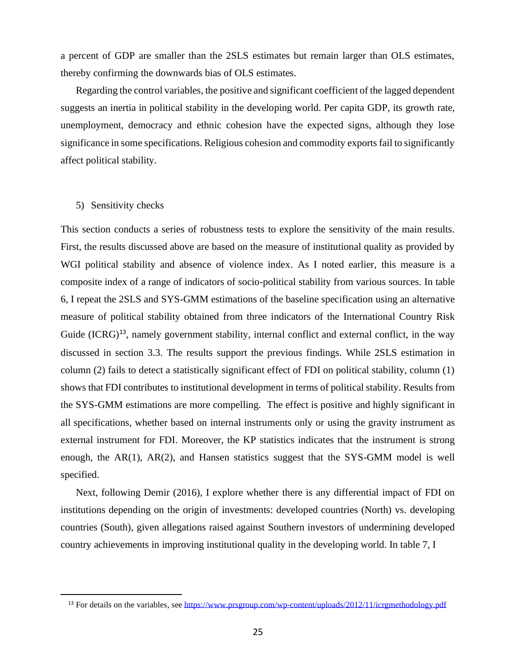a percent of GDP are smaller than the 2SLS estimates but remain larger than OLS estimates, thereby confirming the downwards bias of OLS estimates.

Regarding the control variables, the positive and significant coefficient of the lagged dependent suggests an inertia in political stability in the developing world. Per capita GDP, its growth rate, unemployment, democracy and ethnic cohesion have the expected signs, although they lose significance in some specifications. Religious cohesion and commodity exports fail to significantly affect political stability.

#### 5) Sensitivity checks

This section conducts a series of robustness tests to explore the sensitivity of the main results. First, the results discussed above are based on the measure of institutional quality as provided by WGI political stability and absence of violence index. As I noted earlier, this measure is a composite index of a range of indicators of socio-political stability from various sources. In table 6, I repeat the 2SLS and SYS-GMM estimations of the baseline specification using an alternative measure of political stability obtained from three indicators of the International Country Risk Guide (ICRG)<sup>13</sup>, namely government stability, internal conflict and external conflict, in the way discussed in section 3.3. The results support the previous findings. While 2SLS estimation in column (2) fails to detect a statistically significant effect of FDI on political stability, column (1) shows that FDI contributes to institutional development in terms of political stability. Results from the SYS-GMM estimations are more compelling. The effect is positive and highly significant in all specifications, whether based on internal instruments only or using the gravity instrument as external instrument for FDI. Moreover, the KP statistics indicates that the instrument is strong enough, the AR(1), AR(2), and Hansen statistics suggest that the SYS-GMM model is well specified.

Next, following Demir (2016), I explore whether there is any differential impact of FDI on institutions depending on the origin of investments: developed countries (North) vs. developing countries (South), given allegations raised against Southern investors of undermining developed country achievements in improving institutional quality in the developing world. In table 7, I

<sup>&</sup>lt;sup>13</sup> For details on the variables, se[e https://www.prsgroup.com/wp-content/uploads/2012/11/icrgmethodology.pdf](https://www.prsgroup.com/wp-content/uploads/2012/11/icrgmethodology.pdf)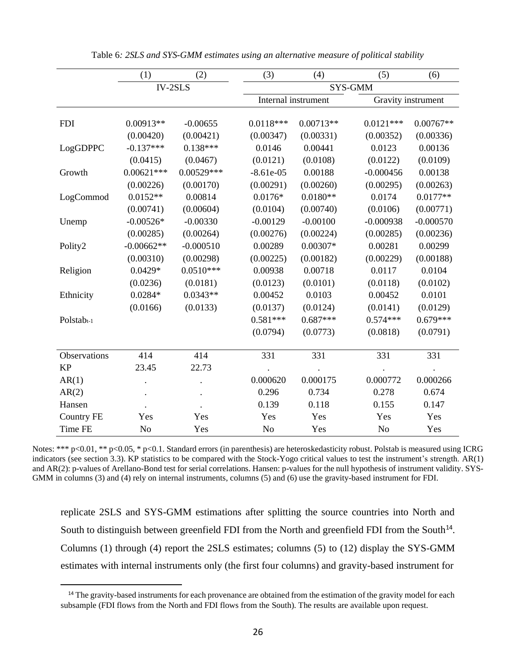|                   | (1)            | (2)          | (3)         | (4)                 | (5)            | (6)                |
|-------------------|----------------|--------------|-------------|---------------------|----------------|--------------------|
|                   |                | $IV-2SLS$    |             |                     | SYS-GMM        |                    |
|                   |                |              |             | Internal instrument |                | Gravity instrument |
|                   |                |              |             |                     |                |                    |
| <b>FDI</b>        | $0.00913**$    | $-0.00655$   | $0.0118***$ | $0.00713**$         | $0.0121***$    | $0.00767**$        |
|                   | (0.00420)      | (0.00421)    | (0.00347)   | (0.00331)           | (0.00352)      | (0.00336)          |
| LogGDPPC          | $-0.137***$    | $0.138***$   | 0.0146      | 0.00441             | 0.0123         | 0.00136            |
|                   | (0.0415)       | (0.0467)     | (0.0121)    | (0.0108)            | (0.0122)       | (0.0109)           |
| Growth            | $0.00621***$   | $0.00529***$ | $-8.61e-05$ | 0.00188             | $-0.000456$    | 0.00138            |
|                   | (0.00226)      | (0.00170)    | (0.00291)   | (0.00260)           | (0.00295)      | (0.00263)          |
| LogCommod         | $0.0152**$     | 0.00814      | $0.0176*$   | $0.0180**$          | 0.0174         | $0.0177**$         |
|                   | (0.00741)      | (0.00604)    | (0.0104)    | (0.00740)           | (0.0106)       | (0.00771)          |
| Unemp             | $-0.00526*$    | $-0.00330$   | $-0.00129$  | $-0.00100$          | $-0.000938$    | $-0.000570$        |
|                   | (0.00285)      | (0.00264)    | (0.00276)   | (0.00224)           | (0.00285)      | (0.00236)          |
| Polity2           | $-0.00662**$   | $-0.000510$  | 0.00289     | $0.00307*$          | 0.00281        | 0.00299            |
|                   | (0.00310)      | (0.00298)    | (0.00225)   | (0.00182)           | (0.00229)      | (0.00188)          |
| Religion          | $0.0429*$      | $0.0510***$  | 0.00938     | 0.00718             | 0.0117         | 0.0104             |
|                   | (0.0236)       | (0.0181)     | (0.0123)    | (0.0101)            | (0.0118)       | (0.0102)           |
| Ethnicity         | $0.0284*$      | $0.0343**$   | 0.00452     | 0.0103              | 0.00452        | 0.0101             |
|                   | (0.0166)       | (0.0133)     | (0.0137)    | (0.0124)            | (0.0141)       | (0.0129)           |
| Polstabt-1        |                |              | $0.581***$  | $0.687***$          | $0.574***$     | $0.679***$         |
|                   |                |              | (0.0794)    | (0.0773)            | (0.0818)       | (0.0791)           |
|                   |                |              |             |                     |                |                    |
| Observations      | 414            | 414          | 331         | 331                 | 331            | 331                |
| <b>KP</b>         | 23.45          | 22.73        |             |                     |                |                    |
| AR(1)             |                |              | 0.000620    | 0.000175            | 0.000772       | 0.000266           |
| AR(2)             |                |              | 0.296       | 0.734               | 0.278          | 0.674              |
| Hansen            |                |              | 0.139       | 0.118               | 0.155          | 0.147              |
| <b>Country FE</b> | Yes            | Yes          | Yes         | Yes                 | Yes            | Yes                |
| Time FE           | N <sub>o</sub> | Yes          | No          | Yes                 | N <sub>o</sub> | Yes                |

| Table 6: 2SLS and SYS-GMM estimates using an alternative measure of political stability |  |  |  |
|-----------------------------------------------------------------------------------------|--|--|--|
|                                                                                         |  |  |  |

Notes: \*\*\* p<0.01, \*\* p<0.05, \* p<0.1. Standard errors (in parenthesis) are heteroskedasticity robust. Polstab is measured using ICRG indicators (see section 3.3). KP statistics to be compared with the Stock-Yogo critical values to test the instrument's strength. AR(1) and AR(2): p-values of Arellano-Bond test for serial correlations. Hansen: p-values for the null hypothesis of instrument validity. SYS-GMM in columns (3) and (4) rely on internal instruments, columns (5) and (6) use the gravity-based instrument for FDI.

replicate 2SLS and SYS-GMM estimations after splitting the source countries into North and South to distinguish between greenfield FDI from the North and greenfield FDI from the South<sup>14</sup>. Columns (1) through (4) report the 2SLS estimates; columns (5) to (12) display the SYS-GMM estimates with internal instruments only (the first four columns) and gravity-based instrument for

<sup>&</sup>lt;sup>14</sup> The gravity-based instruments for each provenance are obtained from the estimation of the gravity model for each subsample (FDI flows from the North and FDI flows from the South). The results are available upon request.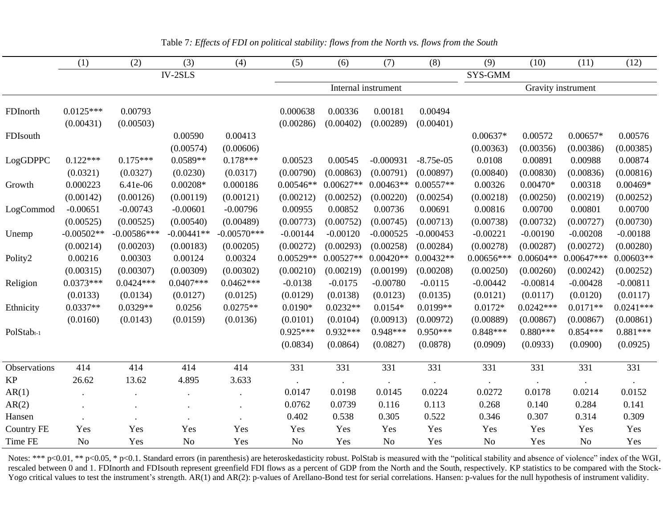|                   | (1)            | (2)           | (3)            | (4)           | (5)            | (6)         | (7)                 | (8)         | (9)            | (10)        | (11)               | (12)        |
|-------------------|----------------|---------------|----------------|---------------|----------------|-------------|---------------------|-------------|----------------|-------------|--------------------|-------------|
|                   |                |               | $IV-2SLS$      |               |                |             |                     |             | SYS-GMM        |             |                    |             |
|                   |                |               |                |               |                |             | Internal instrument |             |                |             | Gravity instrument |             |
| FDInorth          | $0.0125***$    | 0.00793       |                |               | 0.000638       | 0.00336     | 0.00181             | 0.00494     |                |             |                    |             |
|                   | (0.00431)      | (0.00503)     |                |               | (0.00286)      | (0.00402)   | (0.00289)           | (0.00401)   |                |             |                    |             |
| FDIsouth          |                |               | 0.00590        | 0.00413       |                |             |                     |             | $0.00637*$     | 0.00572     | $0.00657*$         | 0.00576     |
|                   |                |               | (0.00574)      | (0.00606)     |                |             |                     |             | (0.00363)      | (0.00356)   | (0.00386)          | (0.00385)   |
| LogGDPPC          | $0.122***$     | $0.175***$    | $0.0589**$     | $0.178***$    | 0.00523        | 0.00545     | $-0.000931$         | $-8.75e-05$ | 0.0108         | 0.00891     | 0.00988            | 0.00874     |
|                   | (0.0321)       | (0.0327)      | (0.0230)       | (0.0317)      | (0.00790)      | (0.00863)   | (0.00791)           | (0.00897)   | (0.00840)      | (0.00830)   | (0.00836)          | (0.00816)   |
| Growth            | 0.000223       | 6.41e-06      | $0.00208*$     | 0.000186      | $0.00546**$    | $0.00627**$ | $0.00463**$         | $0.00557**$ | 0.00326        | $0.00470*$  | 0.00318            | $0.00469*$  |
|                   | (0.00142)      | (0.00126)     | (0.00119)      | (0.00121)     | (0.00212)      | (0.00252)   | (0.00220)           | (0.00254)   | (0.00218)      | (0.00250)   | (0.00219)          | (0.00252)   |
| LogCommod         | $-0.00651$     | $-0.00743$    | $-0.00601$     | $-0.00796$    | 0.00955        | 0.00852     | 0.00736             | 0.00691     | 0.00816        | 0.00700     | 0.00801            | 0.00700     |
|                   | (0.00525)      | (0.00525)     | (0.00540)      | (0.00489)     | (0.00773)      | (0.00752)   | (0.00745)           | (0.00713)   | (0.00738)      | (0.00732)   | (0.00727)          | (0.00730)   |
| Unemp             | $-0.00502**$   | $-0.00586***$ | $-0.00441**$   | $-0.00570***$ | $-0.00144$     | $-0.00120$  | $-0.000525$         | $-0.000453$ | $-0.00221$     | $-0.00190$  | $-0.00208$         | $-0.00188$  |
|                   | (0.00214)      | (0.00203)     | (0.00183)      | (0.00205)     | (0.00272)      | (0.00293)   | (0.00258)           | (0.00284)   | (0.00278)      | (0.00287)   | (0.00272)          | (0.00280)   |
| Polity2           | 0.00216        | 0.00303       | 0.00124        | 0.00324       | $0.00529**$    | $0.00527**$ | $0.00420**$         | $0.00432**$ | $0.00656***$   | $0.00604**$ | $0.00647***$       | $0.00603**$ |
|                   | (0.00315)      | (0.00307)     | (0.00309)      | (0.00302)     | (0.00210)      | (0.00219)   | (0.00199)           | (0.00208)   | (0.00250)      | (0.00260)   | (0.00242)          | (0.00252)   |
| Religion          | $0.0373***$    | $0.0424***$   | $0.0407***$    | $0.0462***$   | $-0.0138$      | $-0.0175$   | $-0.00780$          | $-0.0115$   | $-0.00442$     | $-0.00814$  | $-0.00428$         | $-0.00811$  |
|                   | (0.0133)       | (0.0134)      | (0.0127)       | (0.0125)      | (0.0129)       | (0.0138)    | (0.0123)            | (0.0135)    | (0.0121)       | (0.0117)    | (0.0120)           | (0.0117)    |
| Ethnicity         | $0.0337**$     | $0.0329**$    | 0.0256         | $0.0275**$    | $0.0190*$      | $0.0232**$  | $0.0154*$           | $0.0199**$  | $0.0172*$      | $0.0242***$ | $0.0171**$         | $0.0241***$ |
|                   | (0.0160)       | (0.0143)      | (0.0159)       | (0.0136)      | (0.0101)       | (0.0104)    | (0.00913)           | (0.00972)   | (0.00889)      | (0.00867)   | (0.00867)          | (0.00861)   |
| PolStabt-1        |                |               |                |               | $0.925***$     | $0.932***$  | $0.948***$          | $0.950***$  | $0.848***$     | $0.880***$  | $0.854***$         | $0.881***$  |
|                   |                |               |                |               | (0.0834)       | (0.0864)    | (0.0827)            | (0.0878)    | (0.0909)       | (0.0933)    | (0.0900)           | (0.0925)    |
| Observations      | 414            | 414           | 414            | 414           | 331            | 331         | 331                 | 331         | 331            | 331         | 331                | 331         |
| <b>KP</b>         | 26.62          | 13.62         | 4.895          | 3.633         |                |             |                     |             |                |             |                    |             |
| AR(1)             |                |               | $\bullet$      |               | 0.0147         | 0.0198      | 0.0145              | 0.0224      | 0.0272         | 0.0178      | 0.0214             | 0.0152      |
| AR(2)             |                |               |                |               | 0.0762         | 0.0739      | 0.116               | 0.113       | 0.268          | 0.140       | 0.284              | 0.141       |
| Hansen            |                |               |                |               | 0.402          | 0.538       | 0.305               | 0.522       | 0.346          | 0.307       | 0.314              | 0.309       |
| <b>Country FE</b> | Yes            | Yes           | Yes            | Yes           | Yes            | Yes         | Yes                 | Yes         | Yes            | Yes         | Yes                | Yes         |
| Time FE           | N <sub>o</sub> | Yes           | N <sub>o</sub> | Yes           | N <sub>o</sub> | Yes         | N <sub>0</sub>      | Yes         | N <sub>o</sub> | Yes         | N <sub>o</sub>     | Yes         |

Table 7*: Effects of FDI on political stability: flows from the North vs. flows from the South*

Yogo critical values to test the instrument's strength. AR(1) and AR(2): p-values of Arellano-Bond test for serial correlations. Hansen: p-values for the null hypothesis of instrument validity. Notes: \*\*\* p<0.01, \*\* p<0.05, \* p<0.1. Standard errors (in parenthesis) are heteroskedasticity robust. PolStab is measured with the "political stability and absence of violence" index of the WGI, rescaled between 0 and 1. FDInorth and FDIsouth represent greenfield FDI flows as a percent of GDP from the North and the South, respectively. KP statistics to be compared with the Stock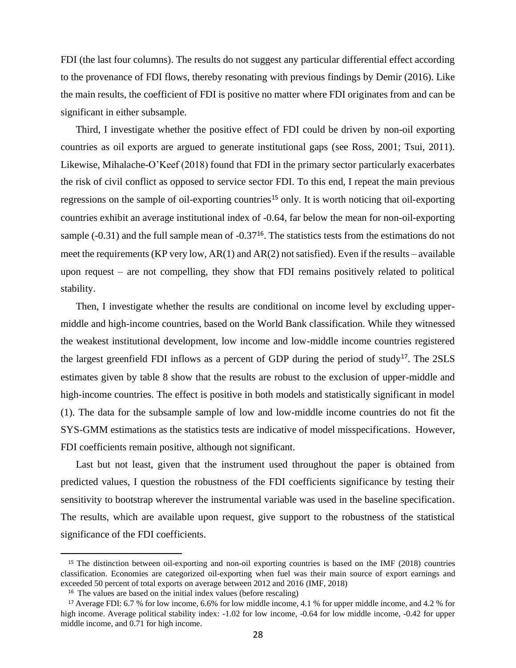FDI (the last four columns). The results do not suggest any particular differential effect according to the provenance of FDI flows, thereby resonating with previous findings by Demir (2016). Like the main results, the coefficient of FDI is positive no matter where FDI originates from and can be significant in either subsample.

Third, I investigate whether the positive effect of FDI could be driven by non-oil exporting countries as oil exports are argued to generate institutional gaps (see Ross, 2001; Tsui, 2011). Likewise, Mihalache-O'Keef (2018) found that FDI in the primary sector particularly exacerbates the risk of civil conflict as opposed to service sector FDI. To this end, I repeat the main previous regressions on the sample of oil-exporting countries<sup>15</sup> only. It is worth noticing that oil-exporting countries exhibit an average institutional index of -0.64, far below the mean for non-oil-exporting sample  $(-0.31)$  and the full sample mean of  $-0.37<sup>16</sup>$ . The statistics tests from the estimations do not meet the requirements (KP very low,  $AR(1)$  and  $AR(2)$  not satisfied). Even if the results – available upon request – are not compelling, they show that FDI remains positively related to political stability.

Then, I investigate whether the results are conditional on income level by excluding uppermiddle and high-income countries, based on the World Bank classification. While they witnessed the weakest institutional development, low income and low-middle income countries registered the largest greenfield FDI inflows as a percent of GDP during the period of study<sup>17</sup>. The 2SLS estimates given by table 8 show that the results are robust to the exclusion of upper-middle and high-income countries. The effect is positive in both models and statistically significant in model (1). The data for the subsample sample of low and low-middle income countries do not fit the SYS-GMM estimations as the statistics tests are indicative of model misspecifications. However, FDI coefficients remain positive, although not significant.

Last but not least, given that the instrument used throughout the paper is obtained from predicted values, I question the robustness of the FDI coefficients significance by testing their sensitivity to bootstrap wherever the instrumental variable was used in the baseline specification. The results, which are available upon request, give support to the robustness of the statistical significance of the FDI coefficients.

<sup>15</sup> The distinction between oil-exporting and non-oil exporting countries is based on the IMF (2018) countries classification. Economies are categorized oil-exporting when fuel was their main source of export earnings and exceeded 50 percent of total exports on average between 2012 and 2016 (IMF, 2018)

<sup>16</sup> The values are based on the initial index values (before rescaling)

<sup>17</sup> Average FDI: 6.7 % for low income, 6.6% for low middle income, 4.1 % for upper middle income, and 4.2 % for high income. Average political stability index:  $-1.02$  for low income,  $-0.64$  for low middle income,  $-0.42$  for upper middle income, and 0.71 for high income.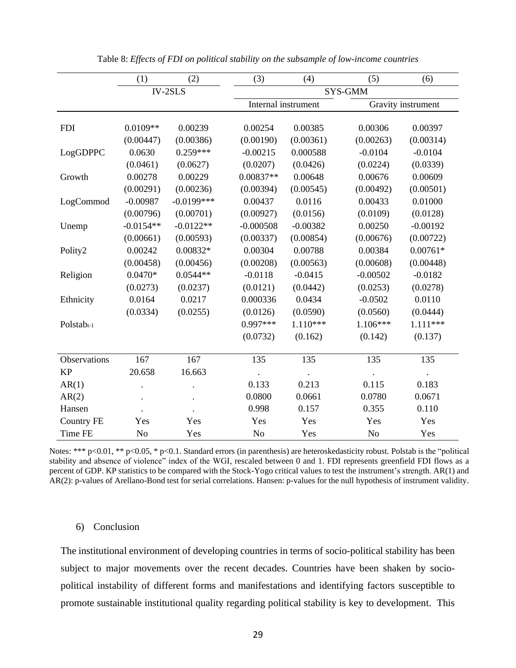|                   | (1)            | (2)          | (3)                 | (4)        | (5)            | (6)                |
|-------------------|----------------|--------------|---------------------|------------|----------------|--------------------|
|                   |                | $IV-2SLS$    |                     |            | SYS-GMM        |                    |
|                   |                |              | Internal instrument |            |                | Gravity instrument |
| <b>FDI</b>        | $0.0109**$     | 0.00239      | 0.00254             | 0.00385    | 0.00306        | 0.00397            |
|                   | (0.00447)      | (0.00386)    | (0.00190)           | (0.00361)  | (0.00263)      | (0.00314)          |
| LogGDPPC          | 0.0630         | $0.259***$   | $-0.00215$          | 0.000588   | $-0.0104$      | $-0.0104$          |
|                   | (0.0461)       | (0.0627)     | (0.0207)            | (0.0426)   | (0.0224)       | (0.0339)           |
| Growth            | 0.00278        | 0.00229      | 0.00837**           | 0.00648    | 0.00676        | 0.00609            |
|                   | (0.00291)      | (0.00236)    | (0.00394)           | (0.00545)  | (0.00492)      | (0.00501)          |
| LogCommod         | $-0.00987$     | $-0.0199***$ | 0.00437             | 0.0116     | 0.00433        | 0.01000            |
|                   | (0.00796)      | (0.00701)    | (0.00927)           | (0.0156)   | (0.0109)       | (0.0128)           |
| Unemp             | $-0.0154**$    | $-0.0122**$  | $-0.000508$         | $-0.00382$ | 0.00250        | $-0.00192$         |
|                   | (0.00661)      | (0.00593)    | (0.00337)           | (0.00854)  | (0.00676)      | (0.00722)          |
| Polity2           | 0.00242        | 0.00832*     | 0.00304             | 0.00788    | 0.00384        | $0.00761*$         |
|                   | (0.00458)      | (0.00456)    | (0.00208)           | (0.00563)  | (0.00608)      | (0.00448)          |
| Religion          | $0.0470*$      | $0.0544**$   | $-0.0118$           | $-0.0415$  | $-0.00502$     | $-0.0182$          |
|                   | (0.0273)       | (0.0237)     | (0.0121)            | (0.0442)   | (0.0253)       | (0.0278)           |
| Ethnicity         | 0.0164         | 0.0217       | 0.000336            | 0.0434     | $-0.0502$      | 0.0110             |
|                   | (0.0334)       | (0.0255)     | (0.0126)            | (0.0590)   | (0.0560)       | (0.0444)           |
| Polstabt-1        |                |              | $0.997***$          | $1.110***$ | $1.106***$     | 1.111***           |
|                   |                |              | (0.0732)            | (0.162)    | (0.142)        | (0.137)            |
| Observations      | 167            | 167          | 135                 | 135        | 135            | 135                |
| <b>KP</b>         | 20.658         | 16.663       |                     |            |                |                    |
| AR(1)             |                |              | 0.133               | 0.213      | 0.115          | 0.183              |
| AR(2)             |                |              | 0.0800              | 0.0661     | 0.0780         | 0.0671             |
| Hansen            |                |              | 0.998               | 0.157      | 0.355          | 0.110              |
| <b>Country FE</b> | Yes            | Yes          | Yes                 | Yes        | Yes            | Yes                |
| Time FE           | N <sub>o</sub> | Yes          | N <sub>o</sub>      | Yes        | N <sub>o</sub> | Yes                |

Table 8: *Effects of FDI on political stability on the subsample of low-income countries*

Notes: \*\*\* p<0.01, \*\* p<0.05, \* p<0.1. Standard errors (in parenthesis) are heteroskedasticity robust. Polstab is the "political stability and absence of violence" index of the WGI, rescaled between 0 and 1. FDI represents greenfield FDI flows as a percent of GDP. KP statistics to be compared with the Stock-Yogo critical values to test the instrument's strength. AR(1) and AR(2): p-values of Arellano-Bond test for serial correlations. Hansen: p-values for the null hypothesis of instrument validity.

# 6) Conclusion

The institutional environment of developing countries in terms of socio-political stability has been subject to major movements over the recent decades. Countries have been shaken by sociopolitical instability of different forms and manifestations and identifying factors susceptible to promote sustainable institutional quality regarding political stability is key to development. This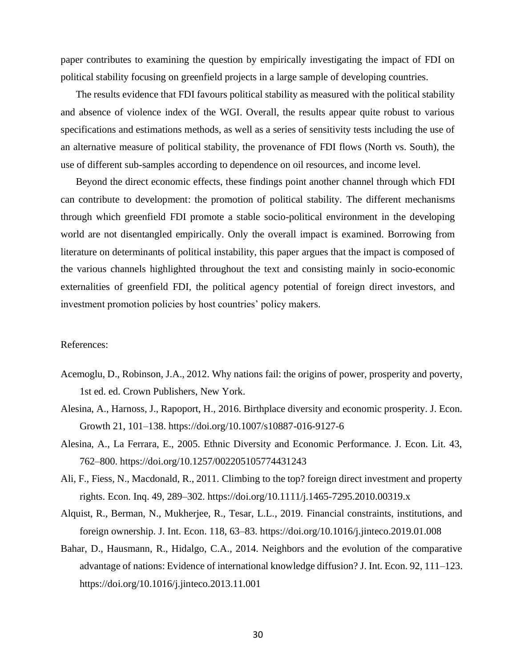paper contributes to examining the question by empirically investigating the impact of FDI on political stability focusing on greenfield projects in a large sample of developing countries.

The results evidence that FDI favours political stability as measured with the political stability and absence of violence index of the WGI. Overall, the results appear quite robust to various specifications and estimations methods, as well as a series of sensitivity tests including the use of an alternative measure of political stability, the provenance of FDI flows (North vs. South), the use of different sub-samples according to dependence on oil resources, and income level.

Beyond the direct economic effects, these findings point another channel through which FDI can contribute to development: the promotion of political stability. The different mechanisms through which greenfield FDI promote a stable socio-political environment in the developing world are not disentangled empirically. Only the overall impact is examined. Borrowing from literature on determinants of political instability, this paper argues that the impact is composed of the various channels highlighted throughout the text and consisting mainly in socio-economic externalities of greenfield FDI, the political agency potential of foreign direct investors, and investment promotion policies by host countries' policy makers.

#### References:

- Acemoglu, D., Robinson, J.A., 2012. Why nations fail: the origins of power, prosperity and poverty, 1st ed. ed. Crown Publishers, New York.
- Alesina, A., Harnoss, J., Rapoport, H., 2016. Birthplace diversity and economic prosperity. J. Econ. Growth 21, 101–138. https://doi.org/10.1007/s10887-016-9127-6
- Alesina, A., La Ferrara, E., 2005. Ethnic Diversity and Economic Performance. J. Econ. Lit. 43, 762–800. https://doi.org/10.1257/002205105774431243
- Ali, F., Fiess, N., Macdonald, R., 2011. Climbing to the top? foreign direct investment and property rights. Econ. Inq. 49, 289–302. https://doi.org/10.1111/j.1465-7295.2010.00319.x
- Alquist, R., Berman, N., Mukherjee, R., Tesar, L.L., 2019. Financial constraints, institutions, and foreign ownership. J. Int. Econ. 118, 63–83. https://doi.org/10.1016/j.jinteco.2019.01.008
- Bahar, D., Hausmann, R., Hidalgo, C.A., 2014. Neighbors and the evolution of the comparative advantage of nations: Evidence of international knowledge diffusion? J. Int. Econ. 92, 111–123. https://doi.org/10.1016/j.jinteco.2013.11.001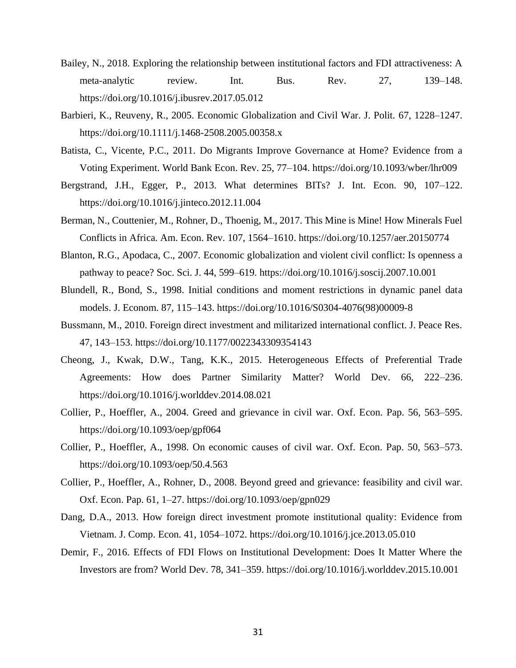- Bailey, N., 2018. Exploring the relationship between institutional factors and FDI attractiveness: A meta-analytic review. Int. Bus. Rev. 27, 139–148. https://doi.org/10.1016/j.ibusrev.2017.05.012
- Barbieri, K., Reuveny, R., 2005. Economic Globalization and Civil War. J. Polit. 67, 1228–1247. https://doi.org/10.1111/j.1468-2508.2005.00358.x
- Batista, C., Vicente, P.C., 2011. Do Migrants Improve Governance at Home? Evidence from a Voting Experiment. World Bank Econ. Rev. 25, 77–104. https://doi.org/10.1093/wber/lhr009
- Bergstrand, J.H., Egger, P., 2013. What determines BITs? J. Int. Econ. 90, 107–122. https://doi.org/10.1016/j.jinteco.2012.11.004
- Berman, N., Couttenier, M., Rohner, D., Thoenig, M., 2017. This Mine is Mine! How Minerals Fuel Conflicts in Africa. Am. Econ. Rev. 107, 1564–1610. https://doi.org/10.1257/aer.20150774
- Blanton, R.G., Apodaca, C., 2007. Economic globalization and violent civil conflict: Is openness a pathway to peace? Soc. Sci. J. 44, 599–619. https://doi.org/10.1016/j.soscij.2007.10.001
- Blundell, R., Bond, S., 1998. Initial conditions and moment restrictions in dynamic panel data models. J. Econom. 87, 115–143. https://doi.org/10.1016/S0304-4076(98)00009-8
- Bussmann, M., 2010. Foreign direct investment and militarized international conflict. J. Peace Res. 47, 143–153. https://doi.org/10.1177/0022343309354143
- Cheong, J., Kwak, D.W., Tang, K.K., 2015. Heterogeneous Effects of Preferential Trade Agreements: How does Partner Similarity Matter? World Dev. 66, 222–236. https://doi.org/10.1016/j.worlddev.2014.08.021
- Collier, P., Hoeffler, A., 2004. Greed and grievance in civil war. Oxf. Econ. Pap. 56, 563–595. https://doi.org/10.1093/oep/gpf064
- Collier, P., Hoeffler, A., 1998. On economic causes of civil war. Oxf. Econ. Pap. 50, 563–573. https://doi.org/10.1093/oep/50.4.563
- Collier, P., Hoeffler, A., Rohner, D., 2008. Beyond greed and grievance: feasibility and civil war. Oxf. Econ. Pap. 61, 1–27. https://doi.org/10.1093/oep/gpn029
- Dang, D.A., 2013. How foreign direct investment promote institutional quality: Evidence from Vietnam. J. Comp. Econ. 41, 1054–1072. https://doi.org/10.1016/j.jce.2013.05.010
- Demir, F., 2016. Effects of FDI Flows on Institutional Development: Does It Matter Where the Investors are from? World Dev. 78, 341–359. https://doi.org/10.1016/j.worlddev.2015.10.001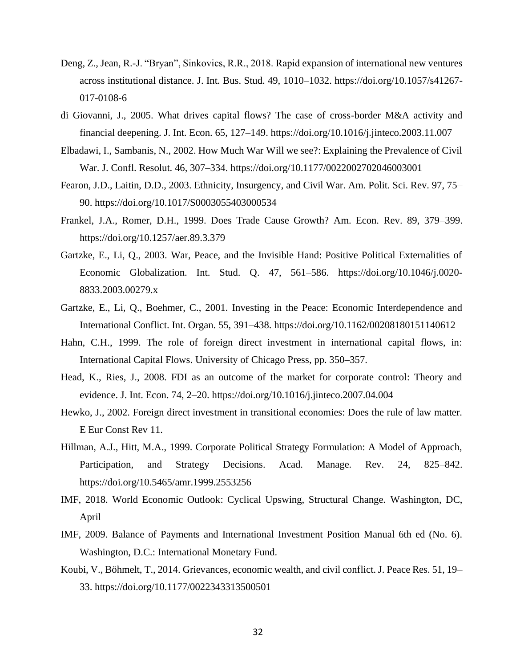- Deng, Z., Jean, R.-J. "Bryan", Sinkovics, R.R., 2018. Rapid expansion of international new ventures across institutional distance. J. Int. Bus. Stud. 49, 1010–1032. https://doi.org/10.1057/s41267- 017-0108-6
- di Giovanni, J., 2005. What drives capital flows? The case of cross-border M&A activity and financial deepening. J. Int. Econ. 65, 127–149. https://doi.org/10.1016/j.jinteco.2003.11.007
- Elbadawi, I., Sambanis, N., 2002. How Much War Will we see?: Explaining the Prevalence of Civil War. J. Confl. Resolut. 46, 307–334. https://doi.org/10.1177/0022002702046003001
- Fearon, J.D., Laitin, D.D., 2003. Ethnicity, Insurgency, and Civil War. Am. Polit. Sci. Rev. 97, 75– 90. https://doi.org/10.1017/S0003055403000534
- Frankel, J.A., Romer, D.H., 1999. Does Trade Cause Growth? Am. Econ. Rev. 89, 379–399. https://doi.org/10.1257/aer.89.3.379
- Gartzke, E., Li, Q., 2003. War, Peace, and the Invisible Hand: Positive Political Externalities of Economic Globalization. Int. Stud. Q. 47, 561–586. https://doi.org/10.1046/j.0020- 8833.2003.00279.x
- Gartzke, E., Li, Q., Boehmer, C., 2001. Investing in the Peace: Economic Interdependence and International Conflict. Int. Organ. 55, 391–438. https://doi.org/10.1162/00208180151140612
- Hahn, C.H., 1999. The role of foreign direct investment in international capital flows, in: International Capital Flows. University of Chicago Press, pp. 350–357.
- Head, K., Ries, J., 2008. FDI as an outcome of the market for corporate control: Theory and evidence. J. Int. Econ. 74, 2–20. https://doi.org/10.1016/j.jinteco.2007.04.004
- Hewko, J., 2002. Foreign direct investment in transitional economies: Does the rule of law matter. E Eur Const Rev 11.
- Hillman, A.J., Hitt, M.A., 1999. Corporate Political Strategy Formulation: A Model of Approach, Participation, and Strategy Decisions. Acad. Manage. Rev. 24, 825–842. https://doi.org/10.5465/amr.1999.2553256
- IMF, 2018. World Economic Outlook: Cyclical Upswing, Structural Change. Washington, DC, April
- IMF, 2009. Balance of Payments and International Investment Position Manual 6th ed (No. 6). Washington, D.C.: International Monetary Fund.
- Koubi, V., Böhmelt, T., 2014. Grievances, economic wealth, and civil conflict. J. Peace Res. 51, 19– 33. https://doi.org/10.1177/0022343313500501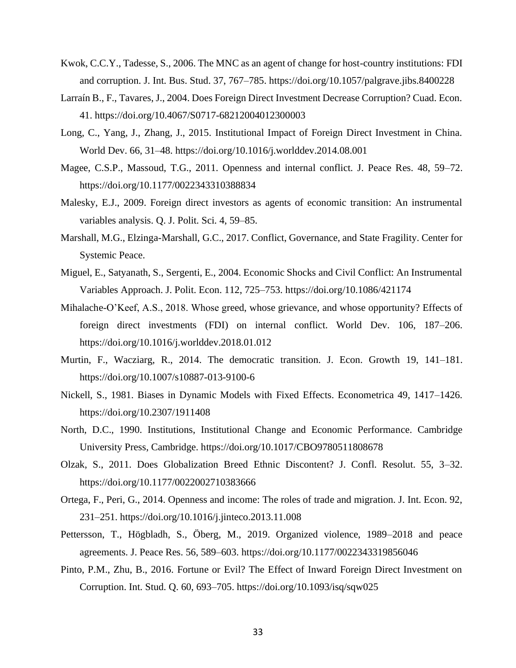- Kwok, C.C.Y., Tadesse, S., 2006. The MNC as an agent of change for host-country institutions: FDI and corruption. J. Int. Bus. Stud. 37, 767–785. https://doi.org/10.1057/palgrave.jibs.8400228
- Larraín B., F., Tavares, J., 2004. Does Foreign Direct Investment Decrease Corruption? Cuad. Econ. 41. https://doi.org/10.4067/S0717-68212004012300003
- Long, C., Yang, J., Zhang, J., 2015. Institutional Impact of Foreign Direct Investment in China. World Dev. 66, 31–48. https://doi.org/10.1016/j.worlddev.2014.08.001
- Magee, C.S.P., Massoud, T.G., 2011. Openness and internal conflict. J. Peace Res. 48, 59–72. https://doi.org/10.1177/0022343310388834
- Malesky, E.J., 2009. Foreign direct investors as agents of economic transition: An instrumental variables analysis. Q. J. Polit. Sci. 4, 59–85.
- Marshall, M.G., Elzinga-Marshall, G.C., 2017. Conflict, Governance, and State Fragility. Center for Systemic Peace.
- Miguel, E., Satyanath, S., Sergenti, E., 2004. Economic Shocks and Civil Conflict: An Instrumental Variables Approach. J. Polit. Econ. 112, 725–753. https://doi.org/10.1086/421174
- Mihalache-O'Keef, A.S., 2018. Whose greed, whose grievance, and whose opportunity? Effects of foreign direct investments (FDI) on internal conflict. World Dev. 106, 187–206. https://doi.org/10.1016/j.worlddev.2018.01.012
- Murtin, F., Wacziarg, R., 2014. The democratic transition. J. Econ. Growth 19, 141–181. https://doi.org/10.1007/s10887-013-9100-6
- Nickell, S., 1981. Biases in Dynamic Models with Fixed Effects. Econometrica 49, 1417–1426. https://doi.org/10.2307/1911408
- North, D.C., 1990. Institutions, Institutional Change and Economic Performance. Cambridge University Press, Cambridge. https://doi.org/10.1017/CBO9780511808678
- Olzak, S., 2011. Does Globalization Breed Ethnic Discontent? J. Confl. Resolut. 55, 3–32. https://doi.org/10.1177/0022002710383666
- Ortega, F., Peri, G., 2014. Openness and income: The roles of trade and migration. J. Int. Econ. 92, 231–251. https://doi.org/10.1016/j.jinteco.2013.11.008
- Pettersson, T., Högbladh, S., Öberg, M., 2019. Organized violence, 1989–2018 and peace agreements. J. Peace Res. 56, 589–603. https://doi.org/10.1177/0022343319856046
- Pinto, P.M., Zhu, B., 2016. Fortune or Evil? The Effect of Inward Foreign Direct Investment on Corruption. Int. Stud. Q. 60, 693–705. https://doi.org/10.1093/isq/sqw025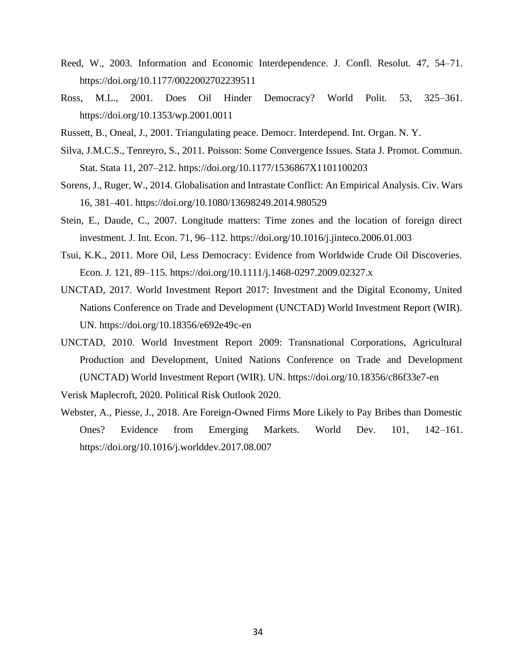- Reed, W., 2003. Information and Economic Interdependence. J. Confl. Resolut. 47, 54–71. https://doi.org/10.1177/0022002702239511
- Ross, M.L., 2001. Does Oil Hinder Democracy? World Polit. 53, 325–361. https://doi.org/10.1353/wp.2001.0011
- Russett, B., Oneal, J., 2001. Triangulating peace. Democr. Interdepend. Int. Organ. N. Y.
- Silva, J.M.C.S., Tenreyro, S., 2011. Poisson: Some Convergence Issues. Stata J. Promot. Commun. Stat. Stata 11, 207–212. https://doi.org/10.1177/1536867X1101100203
- Sorens, J., Ruger, W., 2014. Globalisation and Intrastate Conflict: An Empirical Analysis. Civ. Wars 16, 381–401. https://doi.org/10.1080/13698249.2014.980529
- Stein, E., Daude, C., 2007. Longitude matters: Time zones and the location of foreign direct investment. J. Int. Econ. 71, 96–112. https://doi.org/10.1016/j.jinteco.2006.01.003
- Tsui, K.K., 2011. More Oil, Less Democracy: Evidence from Worldwide Crude Oil Discoveries. Econ. J. 121, 89–115. https://doi.org/10.1111/j.1468-0297.2009.02327.x
- UNCTAD, 2017. World Investment Report 2017: Investment and the Digital Economy, United Nations Conference on Trade and Development (UNCTAD) World Investment Report (WIR). UN. https://doi.org/10.18356/e692e49c-en
- UNCTAD, 2010. World Investment Report 2009: Transnational Corporations, Agricultural Production and Development, United Nations Conference on Trade and Development (UNCTAD) World Investment Report (WIR). UN. https://doi.org/10.18356/c86f33e7-en

Verisk Maplecroft, 2020. Political Risk Outlook 2020.

Webster, A., Piesse, J., 2018. Are Foreign-Owned Firms More Likely to Pay Bribes than Domestic Ones? Evidence from Emerging Markets. World Dev. 101, 142–161. https://doi.org/10.1016/j.worlddev.2017.08.007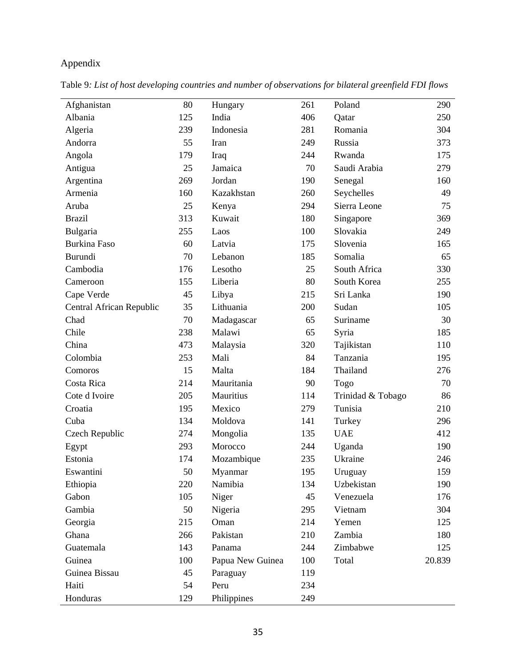# Appendix

| Afghanistan              | 80  | Hungary          | 261 | Poland            | 290    |
|--------------------------|-----|------------------|-----|-------------------|--------|
| Albania                  | 125 | India            | 406 | Qatar             | 250    |
| Algeria                  | 239 | Indonesia        | 281 | Romania           | 304    |
| Andorra                  | 55  | Iran             | 249 | Russia            | 373    |
| Angola                   | 179 | Iraq             | 244 | Rwanda            | 175    |
| Antigua                  | 25  | Jamaica          | 70  | Saudi Arabia      | 279    |
| Argentina                | 269 | Jordan           | 190 | Senegal           | 160    |
| Armenia                  | 160 | Kazakhstan       | 260 | Seychelles        | 49     |
| Aruba                    | 25  | Kenya            | 294 | Sierra Leone      | 75     |
| <b>Brazil</b>            | 313 | Kuwait           | 180 | Singapore         | 369    |
| Bulgaria                 | 255 | Laos             | 100 | Slovakia          | 249    |
| <b>Burkina Faso</b>      | 60  | Latvia           | 175 | Slovenia          | 165    |
| Burundi                  | 70  | Lebanon          | 185 | Somalia           | 65     |
| Cambodia                 | 176 | Lesotho          | 25  | South Africa      | 330    |
| Cameroon                 | 155 | Liberia          | 80  | South Korea       | 255    |
| Cape Verde               | 45  | Libya            | 215 | Sri Lanka         | 190    |
| Central African Republic | 35  | Lithuania        | 200 | Sudan             | 105    |
| Chad                     | 70  | Madagascar       | 65  | Suriname          | 30     |
| Chile                    | 238 | Malawi           | 65  | Syria             | 185    |
| China                    | 473 | Malaysia         | 320 | Tajikistan        | 110    |
| Colombia                 | 253 | Mali             | 84  | Tanzania          | 195    |
| Comoros                  | 15  | Malta            | 184 | Thailand          | 276    |
| Costa Rica               | 214 | Mauritania       | 90  | Togo              | 70     |
| Cote d Ivoire            | 205 | Mauritius        | 114 | Trinidad & Tobago | 86     |
| Croatia                  | 195 | Mexico           | 279 | Tunisia           | 210    |
| Cuba                     | 134 | Moldova          | 141 | Turkey            | 296    |
| Czech Republic           | 274 | Mongolia         | 135 | <b>UAE</b>        | 412    |
| Egypt                    | 293 | Morocco          | 244 | Uganda            | 190    |
| Estonia                  | 174 | Mozambique       | 235 | Ukraine           | 246    |
| Eswantini                | 50  | Myanmar          | 195 | Uruguay           | 159    |
| Ethiopia                 | 220 | Namibia          | 134 | Uzbekistan        | 190    |
| Gabon                    | 105 | Niger            | 45  | Venezuela         | 176    |
| Gambia                   | 50  | Nigeria          | 295 | Vietnam           | 304    |
| Georgia                  | 215 | Oman             | 214 | Yemen             | 125    |
| Ghana                    | 266 | Pakistan         | 210 | Zambia            | 180    |
| Guatemala                | 143 | Panama           | 244 | Zimbabwe          | 125    |
| Guinea                   | 100 | Papua New Guinea | 100 | Total             | 20.839 |
| Guinea Bissau            | 45  | Paraguay         | 119 |                   |        |
| Haiti                    | 54  | Peru             | 234 |                   |        |
| Honduras                 | 129 | Philippines      | 249 |                   |        |

Table 9*: List of host developing countries and number of observations for bilateral greenfield FDI flows*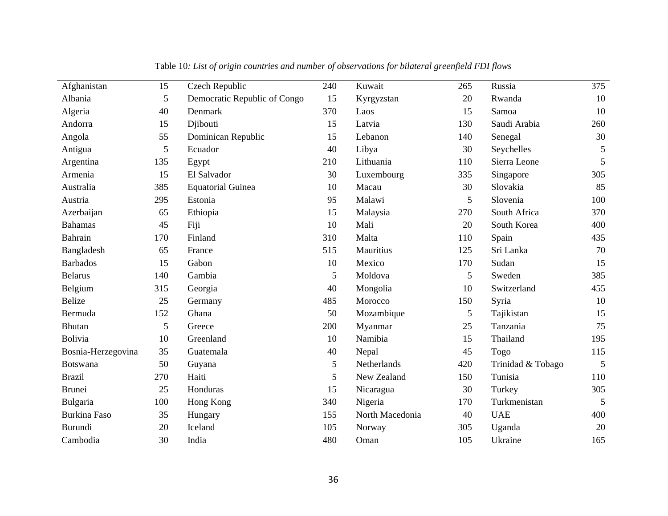| Afghanistan         | 15  | Czech Republic               | 240 | Kuwait          | 265 | Russia            | 375            |
|---------------------|-----|------------------------------|-----|-----------------|-----|-------------------|----------------|
| Albania             | 5   | Democratic Republic of Congo | 15  | Kyrgyzstan      | 20  | Rwanda            | 10             |
| Algeria             | 40  | Denmark                      | 370 | Laos            | 15  | Samoa             | 10             |
| Andorra             | 15  | Djibouti                     | 15  | Latvia          | 130 | Saudi Arabia      | 260            |
| Angola              | 55  | Dominican Republic           | 15  | Lebanon         | 140 | Senegal           | 30             |
| Antigua             | 5   | Ecuador                      | 40  | Libya           | 30  | Seychelles        | $\mathfrak{S}$ |
| Argentina           | 135 | Egypt                        | 210 | Lithuania       | 110 | Sierra Leone      | 5              |
| Armenia             | 15  | El Salvador                  | 30  | Luxembourg      | 335 | Singapore         | 305            |
| Australia           | 385 | <b>Equatorial Guinea</b>     | 10  | Macau           | 30  | Slovakia          | 85             |
| Austria             | 295 | Estonia                      | 95  | Malawi          | 5   | Slovenia          | 100            |
| Azerbaijan          | 65  | Ethiopia                     | 15  | Malaysia        | 270 | South Africa      | 370            |
| <b>Bahamas</b>      | 45  | Fiji                         | 10  | Mali            | 20  | South Korea       | 400            |
| Bahrain             | 170 | Finland                      | 310 | Malta           | 110 | Spain             | 435            |
| Bangladesh          | 65  | France                       | 515 | Mauritius       | 125 | Sri Lanka         | 70             |
| <b>Barbados</b>     | 15  | Gabon                        | 10  | Mexico          | 170 | Sudan             | 15             |
| <b>Belarus</b>      | 140 | Gambia                       | 5   | Moldova         | 5   | Sweden            | 385            |
| Belgium             | 315 | Georgia                      | 40  | Mongolia        | 10  | Switzerland       | 455            |
| Belize              | 25  | Germany                      | 485 | Morocco         | 150 | Syria             | 10             |
| Bermuda             | 152 | Ghana                        | 50  | Mozambique      | 5   | Tajikistan        | 15             |
| Bhutan              | 5   | Greece                       | 200 | Myanmar         | 25  | Tanzania          | 75             |
| <b>Bolivia</b>      | 10  | Greenland                    | 10  | Namibia         | 15  | Thailand          | 195            |
| Bosnia-Herzegovina  | 35  | Guatemala                    | 40  | Nepal           | 45  | Togo              | 115            |
| <b>Botswana</b>     | 50  | Guyana                       | 5   | Netherlands     | 420 | Trinidad & Tobago | 5              |
| <b>Brazil</b>       | 270 | Haiti                        | 5   | New Zealand     | 150 | Tunisia           | 110            |
| Brunei              | 25  | Honduras                     | 15  | Nicaragua       | 30  | Turkey            | 305            |
| Bulgaria            | 100 | Hong Kong                    | 340 | Nigeria         | 170 | Turkmenistan      | 5              |
| <b>Burkina Faso</b> | 35  | Hungary                      | 155 | North Macedonia | 40  | <b>UAE</b>        | 400            |
| Burundi             | 20  | Iceland                      | 105 | Norway          | 305 | Uganda            | 20             |
| Cambodia            | 30  | India                        | 480 | Oman            | 105 | Ukraine           | 165            |

Table 10*: List of origin countries and number of observations for bilateral greenfield FDI flows*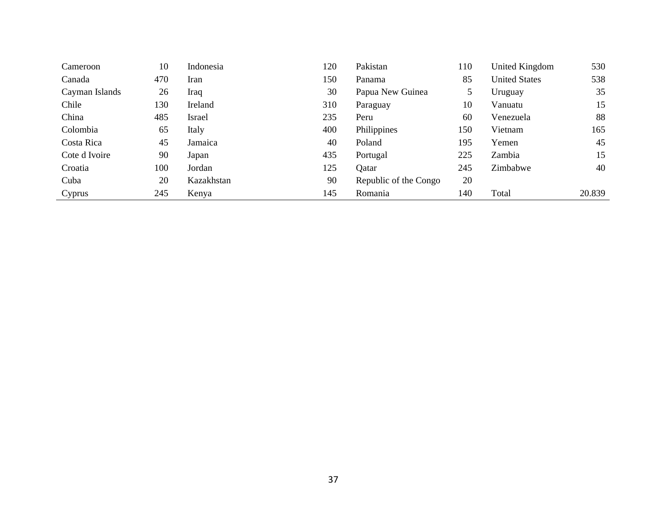| Cameroon       | 10  | Indonesia  | 120 | Pakistan              | 110 | United Kingdom       | 530    |
|----------------|-----|------------|-----|-----------------------|-----|----------------------|--------|
| Canada         | 470 | Iran       | 150 | Panama                | 85  | <b>United States</b> | 538    |
| Cayman Islands | 26  | Iraq       | 30  | Papua New Guinea      | 5   | Uruguay              | 35     |
| Chile          | 130 | Ireland    | 310 | Paraguay              | 10  | Vanuatu              | 15     |
| China          | 485 | Israel     | 235 | Peru                  | 60  | Venezuela            | 88     |
| Colombia       | 65  | Italy      | 400 | Philippines           | 150 | Vietnam              | 165    |
| Costa Rica     | 45  | Jamaica    | 40  | Poland                | 195 | Yemen                | 45     |
| Cote d Ivoire  | 90  | Japan      | 435 | Portugal              | 225 | Zambia               | 15     |
| Croatia        | 100 | Jordan     | 125 | Qatar                 | 245 | Zimbabwe             | 40     |
| Cuba           | 20  | Kazakhstan | 90  | Republic of the Congo | 20  |                      |        |
| Cyprus         | 245 | Kenya      | 145 | Romania               | 140 | Total                | 20.839 |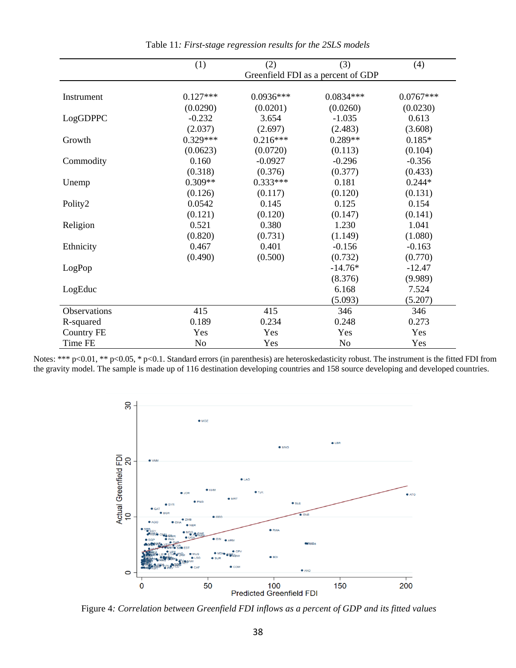|                     | (1)                                | (2)         | (3)            | (4)         |
|---------------------|------------------------------------|-------------|----------------|-------------|
|                     | Greenfield FDI as a percent of GDP |             |                |             |
|                     |                                    |             |                |             |
| Instrument          | $0.127***$                         | $0.0936***$ | $0.0834***$    | $0.0767***$ |
|                     | (0.0290)                           | (0.0201)    | (0.0260)       | (0.0230)    |
| LogGDPPC            | $-0.232$                           | 3.654       | $-1.035$       | 0.613       |
|                     | (2.037)                            | (2.697)     | (2.483)        | (3.608)     |
| Growth              | $0.329***$                         | $0.216***$  | $0.289**$      | $0.185*$    |
|                     | (0.0623)                           | (0.0720)    | (0.113)        | (0.104)     |
| Commodity           | 0.160                              | $-0.0927$   | $-0.296$       | $-0.356$    |
|                     | (0.318)                            | (0.376)     | (0.377)        | (0.433)     |
| Unemp               | $0.309**$                          | $0.333***$  | 0.181          | $0.244*$    |
|                     | (0.126)                            | (0.117)     | (0.120)        | (0.131)     |
| Polity2             | 0.0542                             | 0.145       | 0.125          | 0.154       |
|                     | (0.121)                            | (0.120)     | (0.147)        | (0.141)     |
| Religion            | 0.521                              | 0.380       | 1.230          | 1.041       |
|                     | (0.820)                            | (0.731)     | (1.149)        | (1.080)     |
| Ethnicity           | 0.467                              | 0.401       | $-0.156$       | $-0.163$    |
|                     | (0.490)                            | (0.500)     | (0.732)        | (0.770)     |
| LogPop              |                                    |             | $-14.76*$      | $-12.47$    |
|                     |                                    |             | (8.376)        | (9.989)     |
| LogEduc             |                                    |             | 6.168          | 7.524       |
|                     |                                    |             | (5.093)        | (5.207)     |
| <b>Observations</b> | 415                                | 415         | 346            | 346         |
| R-squared           | 0.189                              | 0.234       | 0.248          | 0.273       |
| <b>Country FE</b>   | Yes                                | Yes         | Yes            | Yes         |
| Time FE             | N <sub>o</sub>                     | Yes         | N <sub>o</sub> | Yes         |

Table 11*: First-stage regression results for the 2SLS models*

Notes: \*\*\* p<0.01, \*\* p<0.05, \* p<0.1. Standard errors (in parenthesis) are heteroskedasticity robust. The instrument is the fitted FDI from the gravity model. The sample is made up of 116 destination developing countries and 158 source developing and developed countries.



Figure 4*: Correlation between Greenfield FDI inflows as a percent of GDP and its fitted values*